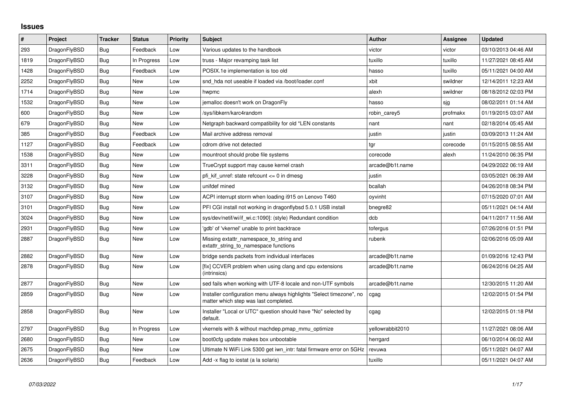## **Issues**

| $\vert$ # | Project      | <b>Tracker</b> | <b>Status</b> | Priority | <b>Subject</b>                                                                                                | <b>Author</b>    | Assignee | <b>Updated</b>      |
|-----------|--------------|----------------|---------------|----------|---------------------------------------------------------------------------------------------------------------|------------------|----------|---------------------|
| 293       | DragonFlyBSD | <b>Bug</b>     | Feedback      | Low      | Various updates to the handbook                                                                               | victor           | victor   | 03/10/2013 04:46 AM |
| 1819      | DragonFlyBSD | <b>Bug</b>     | In Progress   | Low      | truss - Major revamping task list                                                                             | tuxillo          | tuxillo  | 11/27/2021 08:45 AM |
| 1428      | DragonFlyBSD | Bug            | Feedback      | Low      | POSIX.1e implementation is too old                                                                            | hasso            | tuxillo  | 05/11/2021 04:00 AM |
| 2252      | DragonFlyBSD | Bug            | <b>New</b>    | Low      | snd hda not useable if loaded via /boot/loader.conf                                                           | xbit             | swildner | 12/14/2011 12:23 AM |
| 1714      | DragonFlyBSD | Bug            | New           | Low      | hwpmc                                                                                                         | alexh            | swildner | 08/18/2012 02:03 PM |
| 1532      | DragonFlyBSD | Bug            | <b>New</b>    | Low      | jemalloc doesn't work on DragonFly                                                                            | hasso            | sjg      | 08/02/2011 01:14 AM |
| 600       | DragonFlyBSD | Bug            | New           | Low      | /sys/libkern/karc4random                                                                                      | robin_carey5     | profmakx | 01/19/2015 03:07 AM |
| 679       | DragonFlyBSD | Bug            | New           | Low      | Netgraph backward compatibility for old *LEN constants                                                        | nant             | nant     | 02/18/2014 05:45 AM |
| 385       | DragonFlyBSD | <b>Bug</b>     | Feedback      | Low      | Mail archive address removal                                                                                  | justin           | justin   | 03/09/2013 11:24 AM |
| 1127      | DragonFlyBSD | Bug            | Feedback      | Low      | cdrom drive not detected                                                                                      | tgr              | corecode | 01/15/2015 08:55 AM |
| 1538      | DragonFlyBSD | <b>Bug</b>     | <b>New</b>    | Low      | mountroot should probe file systems                                                                           | corecode         | alexh    | 11/24/2010 06:35 PM |
| 3311      | DragonFlyBSD | <b>Bug</b>     | <b>New</b>    | Low      | TrueCrypt support may cause kernel crash                                                                      | arcade@b1t.name  |          | 04/29/2022 06:19 AM |
| 3228      | DragonFlyBSD | Bug            | New           | Low      | pfi kif unref: state refcount <= 0 in dmesg                                                                   | justin           |          | 03/05/2021 06:39 AM |
| 3132      | DragonFlyBSD | <b>Bug</b>     | New           | Low      | unifdef mined                                                                                                 | bcallah          |          | 04/26/2018 08:34 PM |
| 3107      | DragonFlyBSD | <b>Bug</b>     | New           | Low      | ACPI interrupt storm when loading i915 on Lenovo T460                                                         | oyvinht          |          | 07/15/2020 07:01 AM |
| 3101      | DragonFlyBSD | <b>Bug</b>     | <b>New</b>    | Low      | PFI CGI install not working in dragonflybsd 5.0.1 USB install                                                 | bnegre82         |          | 05/11/2021 04:14 AM |
| 3024      | DragonFlyBSD | Bug            | New           | Low      | sys/dev/netif/wi/if wi.c:1090]: (style) Redundant condition                                                   | dcb              |          | 04/11/2017 11:56 AM |
| 2931      | DragonFlyBSD | Bug            | New           | Low      | 'gdb' of 'vkernel' unable to print backtrace                                                                  | tofergus         |          | 07/26/2016 01:51 PM |
| 2887      | DragonFlyBSD | Bug            | New           | Low      | Missing extattr_namespace_to_string and<br>extattr string to namespace functions                              | rubenk           |          | 02/06/2016 05:09 AM |
| 2882      | DragonFlyBSD | <b>Bug</b>     | New           | Low      | bridge sends packets from individual interfaces                                                               | arcade@b1t.name  |          | 01/09/2016 12:43 PM |
| 2878      | DragonFlyBSD | <b>Bug</b>     | New           | Low      | [fix] CCVER problem when using clang and cpu extensions<br>(intrinsics)                                       | arcade@b1t.name  |          | 06/24/2016 04:25 AM |
| 2877      | DragonFlyBSD | <b>Bug</b>     | New           | Low      | sed fails when working with UTF-8 locale and non-UTF symbols                                                  | arcade@b1t.name  |          | 12/30/2015 11:20 AM |
| 2859      | DragonFlyBSD | <b>Bug</b>     | New           | Low      | Installer configuration menu always highlights "Select timezone", no<br>matter which step was last completed. | cgag             |          | 12/02/2015 01:54 PM |
| 2858      | DragonFlyBSD | Bug            | New           | Low      | Installer "Local or UTC" question should have "No" selected by<br>default.                                    | cgag             |          | 12/02/2015 01:18 PM |
| 2797      | DragonFlyBSD | <b>Bug</b>     | In Progress   | Low      | vkernels with & without machdep.pmap_mmu_optimize                                                             | vellowrabbit2010 |          | 11/27/2021 08:06 AM |
| 2680      | DragonFlyBSD | Bug            | New           | Low      | boot0cfg update makes box unbootable                                                                          | herrgard         |          | 06/10/2014 06:02 AM |
| 2675      | DragonFlyBSD | <b>Bug</b>     | <b>New</b>    | Low      | Ultimate N WiFi Link 5300 get iwn intr: fatal firmware error on 5GHz                                          | revuwa           |          | 05/11/2021 04:07 AM |
| 2636      | DragonFlyBSD | <b>Bug</b>     | Feedback      | Low      | Add -x flag to iostat (a la solaris)                                                                          | tuxillo          |          | 05/11/2021 04:07 AM |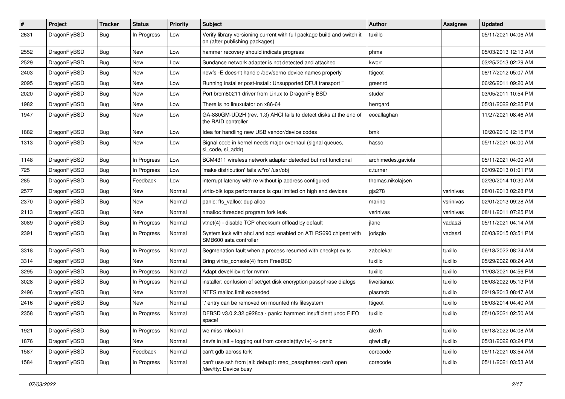| $\#$ | Project      | <b>Tracker</b> | <b>Status</b> | <b>Priority</b> | Subject                                                                                                   | <b>Author</b>      | Assignee  | <b>Updated</b>      |
|------|--------------|----------------|---------------|-----------------|-----------------------------------------------------------------------------------------------------------|--------------------|-----------|---------------------|
| 2631 | DragonFlyBSD | <b>Bug</b>     | In Progress   | Low             | Verify library versioning current with full package build and switch it<br>on (after publishing packages) | tuxillo            |           | 05/11/2021 04:06 AM |
| 2552 | DragonFlyBSD | <b>Bug</b>     | New           | Low             | hammer recovery should indicate progress                                                                  | phma               |           | 05/03/2013 12:13 AM |
| 2529 | DragonFlyBSD | <b>Bug</b>     | New           | Low             | Sundance network adapter is not detected and attached                                                     | kworr              |           | 03/25/2013 02:29 AM |
| 2403 | DragonFlyBSD | Bug            | New           | Low             | newfs - E doesn't handle /dev/serno device names properly                                                 | ftigeot            |           | 08/17/2012 05:07 AM |
| 2095 | DragonFlyBSD | Bug            | New           | Low             | Running installer post-install: Unsupported DFUI transport "                                              | greenrd            |           | 06/26/2011 09:20 AM |
| 2020 | DragonFlyBSD | Bug            | New           | Low             | Port brcm80211 driver from Linux to DragonFly BSD                                                         | studer             |           | 03/05/2011 10:54 PM |
| 1982 | DragonFlyBSD | Bug            | New           | Low             | There is no linuxulator on x86-64                                                                         | herrgard           |           | 05/31/2022 02:25 PM |
| 1947 | DragonFlyBSD | Bug            | New           | Low             | GA-880GM-UD2H (rev. 1.3) AHCI fails to detect disks at the end of<br>the RAID controller                  | eocallaghan        |           | 11/27/2021 08:46 AM |
| 1882 | DragonFlyBSD | Bug            | New           | Low             | Idea for handling new USB vendor/device codes                                                             | bmk                |           | 10/20/2010 12:15 PM |
| 1313 | DragonFlyBSD | Bug            | New           | Low             | Signal code in kernel needs major overhaul (signal queues,<br>si code, si addr)                           | hasso              |           | 05/11/2021 04:00 AM |
| 1148 | DragonFlyBSD | Bug            | In Progress   | Low             | BCM4311 wireless network adapter detected but not functional                                              | archimedes.gaviola |           | 05/11/2021 04:00 AM |
| 725  | DragonFlyBSD | Bug            | In Progress   | Low             | 'make distribution' fails w/'ro' /usr/obj                                                                 | c.turner           |           | 03/09/2013 01:01 PM |
| 285  | DragonFlyBSD | Bug            | Feedback      | Low             | interrupt latency with re without ip address configured                                                   | thomas.nikolajsen  |           | 02/20/2014 10:30 AM |
| 2577 | DragonFlyBSD | Bug            | <b>New</b>    | Normal          | virtio-blk iops performance is cpu limited on high end devices                                            | $g$ js $278$       | vsrinivas | 08/01/2013 02:28 PM |
| 2370 | DragonFlyBSD | Bug            | New           | Normal          | panic: ffs_valloc: dup alloc                                                                              | marino             | vsrinivas | 02/01/2013 09:28 AM |
| 2113 | DragonFlyBSD | <b>Bug</b>     | New           | Normal          | nmalloc threaded program fork leak                                                                        | vsrinivas          | vsrinivas | 08/11/2011 07:25 PM |
| 3089 | DragonFlyBSD | <b>Bug</b>     | In Progress   | Normal          | vtnet(4) - disable TCP checksum offload by default                                                        | jlane              | vadaszi   | 05/11/2021 04:14 AM |
| 2391 | DragonFlyBSD | <b>Bug</b>     | In Progress   | Normal          | System lock with ahci and acpi enabled on ATI RS690 chipset with<br>SMB600 sata controller                | jorisgio           | vadaszi   | 06/03/2015 03:51 PM |
| 3318 | DragonFlyBSD | <b>Bug</b>     | In Progress   | Normal          | Segmenation fault when a process resumed with checkpt exits                                               | zabolekar          | tuxillo   | 06/18/2022 08:24 AM |
| 3314 | DragonFlyBSD | <b>Bug</b>     | New           | Normal          | Bring virtio console(4) from FreeBSD                                                                      | tuxillo            | tuxillo   | 05/29/2022 08:24 AM |
| 3295 | DragonFlyBSD | <b>Bug</b>     | In Progress   | Normal          | Adapt devel/libvirt for nvmm                                                                              | tuxillo            | tuxillo   | 11/03/2021 04:56 PM |
| 3028 | DragonFlyBSD | <b>Bug</b>     | In Progress   | Normal          | installer: confusion of set/get disk encryption passphrase dialogs                                        | liweitianux        | tuxillo   | 06/03/2022 05:13 PM |
| 2496 | DragonFlyBSD | <b>Bug</b>     | New           | Normal          | NTFS malloc limit exceeded                                                                                | plasmob            | tuxillo   | 02/19/2013 08:47 AM |
| 2416 | DragonFlyBSD | <b>Bug</b>     | New           | Normal          | ".' entry can be removed on mounted nfs filesystem                                                        | ftigeot            | tuxillo   | 06/03/2014 04:40 AM |
| 2358 | DragonFlyBSD | Bug            | In Progress   | Normal          | DFBSD v3.0.2.32.g928ca - panic: hammer: insufficient undo FIFO<br>space!                                  | tuxillo            | tuxillo   | 05/10/2021 02:50 AM |
| 1921 | DragonFlyBSD | <b>Bug</b>     | In Progress   | Normal          | we miss mlockall                                                                                          | alexh              | tuxillo   | 06/18/2022 04:08 AM |
| 1876 | DragonFlyBSD | <b>Bug</b>     | New           | Normal          | devfs in jail + logging out from console(ttyv1+) -> panic                                                 | qhwt.dfly          | tuxillo   | 05/31/2022 03:24 PM |
| 1587 | DragonFlyBSD | <b>Bug</b>     | Feedback      | Normal          | can't gdb across fork                                                                                     | corecode           | tuxillo   | 05/11/2021 03:54 AM |
| 1584 | DragonFlyBSD | <b>Bug</b>     | In Progress   | Normal          | can't use ssh from jail: debug1: read_passphrase: can't open<br>/dev/tty: Device busy                     | corecode           | tuxillo   | 05/11/2021 03:53 AM |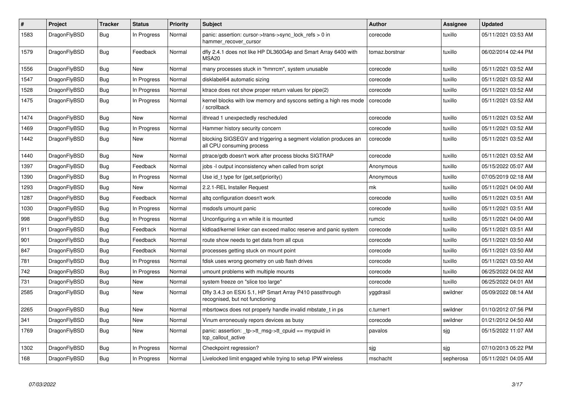| ∦    | Project      | <b>Tracker</b> | <b>Status</b> | <b>Priority</b> | <b>Subject</b>                                                                               | <b>Author</b>  | Assignee  | <b>Updated</b>      |
|------|--------------|----------------|---------------|-----------------|----------------------------------------------------------------------------------------------|----------------|-----------|---------------------|
| 1583 | DragonFlyBSD | <b>Bug</b>     | In Progress   | Normal          | panic: assertion: cursor->trans->sync_lock_refs > 0 in<br>hammer_recover_cursor              | corecode       | tuxillo   | 05/11/2021 03:53 AM |
| 1579 | DragonFlyBSD | <b>Bug</b>     | Feedback      | Normal          | dfly 2.4.1 does not like HP DL360G4p and Smart Array 6400 with<br><b>MSA20</b>               | tomaz.borstnar | tuxillo   | 06/02/2014 02:44 PM |
| 1556 | DragonFlyBSD | <b>Bug</b>     | <b>New</b>    | Normal          | many processes stuck in "hmrrcm", system unusable                                            | corecode       | tuxillo   | 05/11/2021 03:52 AM |
| 1547 | DragonFlyBSD | Bug            | In Progress   | Normal          | disklabel64 automatic sizing                                                                 | corecode       | tuxillo   | 05/11/2021 03:52 AM |
| 1528 | DragonFlyBSD | Bug            | In Progress   | Normal          | ktrace does not show proper return values for pipe(2)                                        | corecode       | tuxillo   | 05/11/2021 03:52 AM |
| 1475 | DragonFlyBSD | Bug            | In Progress   | Normal          | kernel blocks with low memory and syscons setting a high res mode<br>' scrollback            | corecode       | tuxillo   | 05/11/2021 03:52 AM |
| 1474 | DragonFlyBSD | <b>Bug</b>     | <b>New</b>    | Normal          | ithread 1 unexpectedly rescheduled                                                           | corecode       | tuxillo   | 05/11/2021 03:52 AM |
| 1469 | DragonFlyBSD | <b>Bug</b>     | In Progress   | Normal          | Hammer history security concern                                                              | corecode       | tuxillo   | 05/11/2021 03:52 AM |
| 1442 | DragonFlyBSD | Bug            | New           | Normal          | blocking SIGSEGV and triggering a segment violation produces an<br>all CPU consuming process | corecode       | tuxillo   | 05/11/2021 03:52 AM |
| 1440 | DragonFlyBSD | Bug            | <b>New</b>    | Normal          | ptrace/gdb doesn't work after process blocks SIGTRAP                                         | corecode       | tuxillo   | 05/11/2021 03:52 AM |
| 1397 | DragonFlyBSD | <b>Bug</b>     | Feedback      | Normal          | jobs -I output inconsistency when called from script                                         | Anonymous      | tuxillo   | 05/15/2022 05:07 AM |
| 1390 | DragonFlyBSD | Bug            | In Progress   | Normal          | Use id t type for $\{get, set\}$ priority $()$                                               | Anonymous      | tuxillo   | 07/05/2019 02:18 AM |
| 1293 | DragonFlyBSD | <b>Bug</b>     | New           | Normal          | 2.2.1-REL Installer Request                                                                  | mk             | tuxillo   | 05/11/2021 04:00 AM |
| 1287 | DragonFlyBSD | Bug            | Feedback      | Normal          | altg configuration doesn't work                                                              | corecode       | tuxillo   | 05/11/2021 03:51 AM |
| 1030 | DragonFlyBSD | Bug            | In Progress   | Normal          | msdosfs umount panic                                                                         | corecode       | tuxillo   | 05/11/2021 03:51 AM |
| 998  | DragonFlyBSD | Bug            | In Progress   | Normal          | Unconfiguring a vn while it is mounted                                                       | rumcic         | tuxillo   | 05/11/2021 04:00 AM |
| 911  | DragonFlyBSD | <b>Bug</b>     | Feedback      | Normal          | kldload/kernel linker can exceed malloc reserve and panic system                             | corecode       | tuxillo   | 05/11/2021 03:51 AM |
| 901  | DragonFlyBSD | <b>Bug</b>     | Feedback      | Normal          | route show needs to get data from all cpus                                                   | corecode       | tuxillo   | 05/11/2021 03:50 AM |
| 847  | DragonFlyBSD | Bug            | Feedback      | Normal          | processes getting stuck on mount point                                                       | corecode       | tuxillo   | 05/11/2021 03:50 AM |
| 781  | DragonFlyBSD | <b>Bug</b>     | In Progress   | Normal          | fdisk uses wrong geometry on usb flash drives                                                | corecode       | tuxillo   | 05/11/2021 03:50 AM |
| 742  | DragonFlyBSD | Bug            | In Progress   | Normal          | umount problems with multiple mounts                                                         | corecode       | tuxillo   | 06/25/2022 04:02 AM |
| 731  | DragonFlyBSD | Bug            | <b>New</b>    | Normal          | system freeze on "slice too large"                                                           | corecode       | tuxillo   | 06/25/2022 04:01 AM |
| 2585 | DragonFlyBSD | Bug            | New           | Normal          | Dfly 3.4.3 on ESXi 5.1, HP Smart Array P410 passthrough<br>recognised, but not functioning   | yggdrasil      | swildner  | 05/09/2022 08:14 AM |
| 2265 | DragonFlyBSD | Bug            | <b>New</b>    | Normal          | mbsrtowcs does not properly handle invalid mbstate t in ps                                   | c.turner1      | swildner  | 01/10/2012 07:56 PM |
| 341  | DragonFlyBSD | Bug            | <b>New</b>    | Normal          | Vinum erroneously repors devices as busy                                                     | corecode       | swildner  | 01/21/2012 04:50 AM |
| 1769 | DragonFlyBSD | Bug            | New           | Normal          | panic: assertion: tp->tt_msg->tt_cpuid == mycpuid in<br>tcp_callout_active                   | pavalos        | sjg       | 05/15/2022 11:07 AM |
| 1302 | DragonFlyBSD | <b>Bug</b>     | In Progress   | Normal          | Checkpoint regression?                                                                       | sjg            | sjg       | 07/10/2013 05:22 PM |
| 168  | DragonFlyBSD | <b>Bug</b>     | In Progress   | Normal          | Livelocked limit engaged while trying to setup IPW wireless                                  | mschacht       | sepherosa | 05/11/2021 04:05 AM |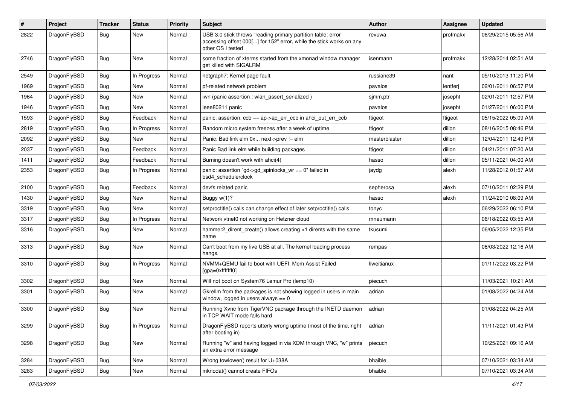| $\#$ | Project      | <b>Tracker</b> | <b>Status</b> | <b>Priority</b> | Subject                                                                                                                                                  | <b>Author</b> | Assignee | <b>Updated</b>      |
|------|--------------|----------------|---------------|-----------------|----------------------------------------------------------------------------------------------------------------------------------------------------------|---------------|----------|---------------------|
| 2822 | DragonFlyBSD | Bug            | <b>New</b>    | Normal          | USB 3.0 stick throws "reading primary partition table: error<br>accessing offset 000[] for 152" error, while the stick works on any<br>other OS I tested | revuwa        | profmakx | 06/29/2015 05:56 AM |
| 2746 | DragonFlyBSD | Bug            | <b>New</b>    | Normal          | some fraction of xterms started from the xmonad window manager<br>get killed with SIGALRM                                                                | isenmann      | profmakx | 12/28/2014 02:51 AM |
| 2549 | DragonFlyBSD | <b>Bug</b>     | In Progress   | Normal          | netgraph7: Kernel page fault.                                                                                                                            | russiane39    | nant     | 05/10/2013 11:20 PM |
| 1969 | DragonFlyBSD | Bug            | New           | Normal          | pf-related network problem                                                                                                                               | pavalos       | lentferj | 02/01/2011 06:57 PM |
| 1964 | DragonFlyBSD | <b>Bug</b>     | <b>New</b>    | Normal          | iwn (panic assertion : wlan_assert_serialized)                                                                                                           | sjmm.ptr      | josepht  | 02/01/2011 12:57 PM |
| 1946 | DragonFlyBSD | <b>Bug</b>     | New           | Normal          | ieee80211 panic                                                                                                                                          | pavalos       | josepht  | 01/27/2011 06:00 PM |
| 1593 | DragonFlyBSD | Bug            | Feedback      | Normal          | panic: assertion: ccb == ap->ap_err_ccb in ahci_put_err_ccb                                                                                              | ftigeot       | ftigeot  | 05/15/2022 05:09 AM |
| 2819 | DragonFlyBSD | <b>Bug</b>     | In Progress   | Normal          | Random micro system freezes after a week of uptime                                                                                                       | ftigeot       | dillon   | 08/16/2015 08:46 PM |
| 2092 | DragonFlyBSD | <b>Bug</b>     | New           | Normal          | Panic: Bad link elm 0x next->prev != elm                                                                                                                 | masterblaster | dillon   | 12/04/2011 12:49 PM |
| 2037 | DragonFlyBSD | Bug            | Feedback      | Normal          | Panic Bad link elm while building packages                                                                                                               | ftigeot       | dillon   | 04/21/2011 07:20 AM |
| 1411 | DragonFlyBSD | <b>Bug</b>     | Feedback      | Normal          | Burning doesn't work with ahci(4)                                                                                                                        | hasso         | dillon   | 05/11/2021 04:00 AM |
| 2353 | DragonFlyBSD | <b>Bug</b>     | In Progress   | Normal          | panic: assertion "gd->gd_spinlocks_wr == 0" failed in<br>bsd4_schedulerclock                                                                             | jaydg         | alexh    | 11/28/2012 01:57 AM |
| 2100 | DragonFlyBSD | Bug            | Feedback      | Normal          | devfs related panic                                                                                                                                      | sepherosa     | alexh    | 07/10/2011 02:29 PM |
| 1430 | DragonFlyBSD | Bug            | <b>New</b>    | Normal          | Buggy w(1)?                                                                                                                                              | hasso         | alexh    | 11/24/2010 08:09 AM |
| 3319 | DragonFlyBSD | <b>Bug</b>     | New           | Normal          | setproctitle() calls can change effect of later setproctitle() calls                                                                                     | tonyc         |          | 06/29/2022 06:10 PM |
| 3317 | DragonFlyBSD | <b>Bug</b>     | In Progress   | Normal          | Network vtnet0 not working on Hetzner cloud                                                                                                              | mneumann      |          | 06/18/2022 03:55 AM |
| 3316 | DragonFlyBSD | Bug            | <b>New</b>    | Normal          | hammer2 dirent create() allows creating >1 dirents with the same<br>name                                                                                 | tkusumi       |          | 06/05/2022 12:35 PM |
| 3313 | DragonFlyBSD | Bug            | <b>New</b>    | Normal          | Can't boot from my live USB at all. The kernel loading process<br>hangs.                                                                                 | rempas        |          | 06/03/2022 12:16 AM |
| 3310 | DragonFlyBSD | Bug            | In Progress   | Normal          | NVMM+QEMU fail to boot with UEFI: Mem Assist Failed<br>[gpa=0xfffffff0]                                                                                  | liweitianux   |          | 01/11/2022 03:22 PM |
| 3302 | DragonFlyBSD | Bug            | <b>New</b>    | Normal          | Will not boot on System76 Lemur Pro (lemp10)                                                                                                             | piecuch       |          | 11/03/2021 10:21 AM |
| 3301 | DragonFlyBSD | <b>Bug</b>     | New           | Normal          | Gkrellm from the packages is not showing logged in users in main<br>window, logged in users always $== 0$                                                | adrian        |          | 01/08/2022 04:24 AM |
| 3300 | DragonFlyBSD | Bug            | <b>New</b>    | Normal          | Running Xvnc from TigerVNC package through the INETD daemon<br>in TCP WAIT mode fails hard                                                               | adrian        |          | 01/08/2022 04:25 AM |
| 3299 | DragonFlyBSD | <b>Bug</b>     | In Progress   | Normal          | DragonFlyBSD reports utterly wrong uptime (most of the time, right<br>after booting in)                                                                  | adrian        |          | 11/11/2021 01:43 PM |
| 3298 | DragonFlyBSD | Bug            | New           | Normal          | Running "w" and having logged in via XDM through VNC, "w" prints<br>an extra error message                                                               | piecuch       |          | 10/25/2021 09:16 AM |
| 3284 | DragonFlyBSD | Bug            | New           | Normal          | Wrong towlower() result for U+038A                                                                                                                       | bhaible       |          | 07/10/2021 03:34 AM |
| 3283 | DragonFlyBSD | Bug            | New           | Normal          | mknodat() cannot create FIFOs                                                                                                                            | bhaible       |          | 07/10/2021 03:34 AM |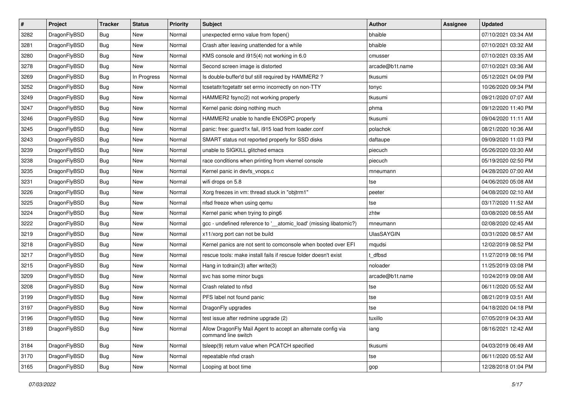| $\sharp$ | Project      | <b>Tracker</b> | <b>Status</b> | <b>Priority</b> | Subject                                                                             | <b>Author</b>     | Assignee | <b>Updated</b>      |
|----------|--------------|----------------|---------------|-----------------|-------------------------------------------------------------------------------------|-------------------|----------|---------------------|
| 3282     | DragonFlyBSD | <b>Bug</b>     | New           | Normal          | unexpected errno value from fopen()                                                 | bhaible           |          | 07/10/2021 03:34 AM |
| 3281     | DragonFlyBSD | <b>Bug</b>     | <b>New</b>    | Normal          | Crash after leaving unattended for a while                                          | bhaible           |          | 07/10/2021 03:32 AM |
| 3280     | DragonFlyBSD | <b>Bug</b>     | New           | Normal          | KMS console and i915(4) not working in 6.0                                          | cmusser           |          | 07/10/2021 03:35 AM |
| 3278     | DragonFlyBSD | Bug            | New           | Normal          | Second screen image is distorted                                                    | arcade@b1t.name   |          | 07/10/2021 03:36 AM |
| 3269     | DragonFlyBSD | <b>Bug</b>     | In Progress   | Normal          | Is double-buffer'd buf still required by HAMMER2 ?                                  | tkusumi           |          | 05/12/2021 04:09 PM |
| 3252     | DragonFlyBSD | <b>Bug</b>     | <b>New</b>    | Normal          | tcsetattr/tcgetattr set errno incorrectly on non-TTY                                | tonyc             |          | 10/26/2020 09:34 PM |
| 3249     | DragonFlyBSD | <b>Bug</b>     | New           | Normal          | HAMMER2 fsync(2) not working properly                                               | tkusumi           |          | 09/21/2020 07:07 AM |
| 3247     | DragonFlyBSD | <b>Bug</b>     | <b>New</b>    | Normal          | Kernel panic doing nothing much                                                     | phma              |          | 09/12/2020 11:40 PM |
| 3246     | DragonFlyBSD | <b>Bug</b>     | New           | Normal          | HAMMER2 unable to handle ENOSPC properly                                            | tkusumi           |          | 09/04/2020 11:11 AM |
| 3245     | DragonFlyBSD | <b>Bug</b>     | <b>New</b>    | Normal          | panic: free: guard1x fail, i915 load from loader.conf                               | polachok          |          | 08/21/2020 10:36 AM |
| 3243     | DragonFlyBSD | <b>Bug</b>     | New           | Normal          | SMART status not reported properly for SSD disks                                    | daftaupe          |          | 09/09/2020 11:03 PM |
| 3239     | DragonFlyBSD | <b>Bug</b>     | <b>New</b>    | Normal          | unable to SIGKILL glitched emacs                                                    | piecuch           |          | 05/26/2020 03:30 AM |
| 3238     | DragonFlyBSD | <b>Bug</b>     | <b>New</b>    | Normal          | race conditions when printing from vkernel console                                  | piecuch           |          | 05/19/2020 02:50 PM |
| 3235     | DragonFlyBSD | <b>Bug</b>     | New           | Normal          | Kernel panic in devfs vnops.c                                                       | mneumann          |          | 04/28/2020 07:00 AM |
| 3231     | DragonFlyBSD | <b>Bug</b>     | <b>New</b>    | Normal          | wifi drops on 5.8                                                                   | tse               |          | 04/06/2020 05:08 AM |
| 3226     | DragonFlyBSD | <b>Bug</b>     | New           | Normal          | Xorg freezes in vm: thread stuck in "objtrm1"                                       | peeter            |          | 04/08/2020 02:10 AM |
| 3225     | DragonFlyBSD | <b>Bug</b>     | <b>New</b>    | Normal          | nfsd freeze when using qemu                                                         | tse               |          | 03/17/2020 11:52 AM |
| 3224     | DragonFlyBSD | <b>Bug</b>     | New           | Normal          | Kernel panic when trying to ping6                                                   | zhtw              |          | 03/08/2020 08:55 AM |
| 3222     | DragonFlyBSD | <b>Bug</b>     | <b>New</b>    | Normal          | gcc - undefined reference to '__atomic_load' (missing libatomic?)                   | mneumann          |          | 02/08/2020 02:45 AM |
| 3219     | DragonFlyBSD | <b>Bug</b>     | New           | Normal          | x11/xorg port can not be build                                                      | <b>UlasSAYGIN</b> |          | 03/31/2020 08:57 AM |
| 3218     | DragonFlyBSD | <b>Bug</b>     | <b>New</b>    | Normal          | Kernel panics are not sent to comconsole when booted over EFI                       | mqudsi            |          | 12/02/2019 08:52 PM |
| 3217     | DragonFlyBSD | <b>Bug</b>     | New           | Normal          | rescue tools: make install fails if rescue folder doesn't exist                     | t dfbsd           |          | 11/27/2019 08:16 PM |
| 3215     | DragonFlyBSD | <b>Bug</b>     | <b>New</b>    | Normal          | Hang in tcdrain(3) after write(3)                                                   | noloader          |          | 11/25/2019 03:08 PM |
| 3209     | DragonFlyBSD | <b>Bug</b>     | New           | Normal          | svc has some minor bugs                                                             | arcade@b1t.name   |          | 10/24/2019 09:08 AM |
| 3208     | DragonFlyBSD | <b>Bug</b>     | New           | Normal          | Crash related to nfsd                                                               | tse               |          | 06/11/2020 05:52 AM |
| 3199     | DragonFlyBSD | Bug            | New           | Normal          | PFS label not found panic                                                           | tse               |          | 08/21/2019 03:51 AM |
| 3197     | DragonFlyBSD | <b>Bug</b>     | New           | Normal          | DragonFly upgrades                                                                  | tse               |          | 04/18/2020 04:18 PM |
| 3196     | DragonFlyBSD | <b>Bug</b>     | New           | Normal          | test issue after redmine upgrade (2)                                                | tuxillo           |          | 07/05/2019 04:33 AM |
| 3189     | DragonFlyBSD | Bug            | New           | Normal          | Allow DragonFly Mail Agent to accept an alternate config via<br>command line switch | iang              |          | 08/16/2021 12:42 AM |
| 3184     | DragonFlyBSD | <b>Bug</b>     | New           | Normal          | tsleep(9) return value when PCATCH specified                                        | tkusumi           |          | 04/03/2019 06:49 AM |
| 3170     | DragonFlyBSD | <b>Bug</b>     | New           | Normal          | repeatable nfsd crash                                                               | tse               |          | 06/11/2020 05:52 AM |
| 3165     | DragonFlyBSD | <b>Bug</b>     | New           | Normal          | Looping at boot time                                                                | gop               |          | 12/28/2018 01:04 PM |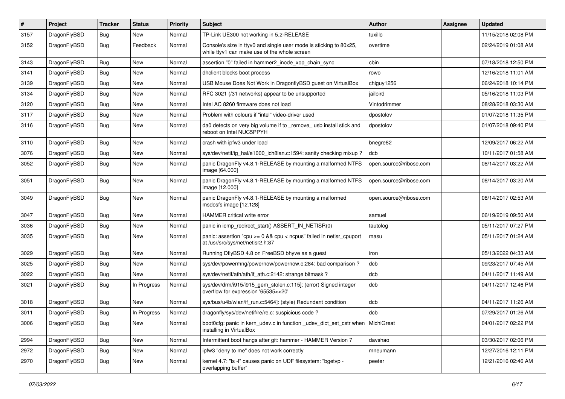| $\sharp$ | Project      | <b>Tracker</b> | <b>Status</b> | <b>Priority</b> | Subject                                                                                                            | <b>Author</b>          | Assignee | <b>Updated</b>      |
|----------|--------------|----------------|---------------|-----------------|--------------------------------------------------------------------------------------------------------------------|------------------------|----------|---------------------|
| 3157     | DragonFlyBSD | <b>Bug</b>     | <b>New</b>    | Normal          | TP-Link UE300 not working in 5.2-RELEASE                                                                           | tuxillo                |          | 11/15/2018 02:08 PM |
| 3152     | DragonFlyBSD | <b>Bug</b>     | Feedback      | Normal          | Console's size in ttyv0 and single user mode is sticking to 80x25,<br>while ttyv1 can make use of the whole screen | overtime               |          | 02/24/2019 01:08 AM |
| 3143     | DragonFlyBSD | <b>Bug</b>     | <b>New</b>    | Normal          | assertion "0" failed in hammer2 inode xop chain sync                                                               | cbin                   |          | 07/18/2018 12:50 PM |
| 3141     | DragonFlyBSD | <b>Bug</b>     | New           | Normal          | dhclient blocks boot process                                                                                       | rowo                   |          | 12/16/2018 11:01 AM |
| 3139     | DragonFlyBSD | <b>Bug</b>     | New           | Normal          | USB Mouse Does Not Work in DragonflyBSD guest on VirtualBox                                                        | chiguy1256             |          | 06/24/2018 10:14 PM |
| 3134     | DragonFlyBSD | <b>Bug</b>     | <b>New</b>    | Normal          | RFC 3021 (/31 networks) appear to be unsupported                                                                   | jailbird               |          | 05/16/2018 11:03 PM |
| 3120     | DragonFlyBSD | <b>Bug</b>     | <b>New</b>    | Normal          | Intel AC 8260 firmware does not load                                                                               | Vintodrimmer           |          | 08/28/2018 03:30 AM |
| 3117     | DragonFlyBSD | <b>Bug</b>     | New           | Normal          | Problem with colours if "intel" video-driver used                                                                  | dpostolov              |          | 01/07/2018 11:35 PM |
| 3116     | DragonFlyBSD | <b>Bug</b>     | New           | Normal          | da0 detects on very big volume if to _remove_ usb install stick and<br>reboot on Intel NUC5PPYH                    | dpostolov              |          | 01/07/2018 09:40 PM |
| 3110     | DragonFlyBSD | <b>Bug</b>     | <b>New</b>    | Normal          | crash with ipfw3 under load                                                                                        | bnegre82               |          | 12/09/2017 06:22 AM |
| 3076     | DragonFlyBSD | Bug            | New           | Normal          | sys/dev/netif/ig hal/e1000 ich8lan.c:1594: sanity checking mixup?                                                  | dcb                    |          | 10/11/2017 01:58 AM |
| 3052     | DragonFlyBSD | Bug            | <b>New</b>    | Normal          | panic DragonFly v4.8.1-RELEASE by mounting a malformed NTFS<br>image [64.000]                                      | open.source@ribose.com |          | 08/14/2017 03:22 AM |
| 3051     | DragonFlyBSD | Bug            | <b>New</b>    | Normal          | panic DragonFly v4.8.1-RELEASE by mounting a malformed NTFS<br>image [12.000]                                      | open.source@ribose.com |          | 08/14/2017 03:20 AM |
| 3049     | DragonFlyBSD | <b>Bug</b>     | New           | Normal          | panic DragonFly v4.8.1-RELEASE by mounting a malformed<br>msdosfs image [12.128]                                   | open.source@ribose.com |          | 08/14/2017 02:53 AM |
| 3047     | DragonFlyBSD | Bug            | <b>New</b>    | Normal          | HAMMER critical write error                                                                                        | samuel                 |          | 06/19/2019 09:50 AM |
| 3036     | DragonFlyBSD | Bug            | New           | Normal          | panic in icmp_redirect_start() ASSERT_IN_NETISR(0)                                                                 | tautolog               |          | 05/11/2017 07:27 PM |
| 3035     | DragonFlyBSD | Bug            | New           | Normal          | panic: assertion "cpu $>= 0$ && cpu $<$ ncpus" failed in netisr cpuport<br>at /usr/src/sys/net/netisr2.h:87        | masu                   |          | 05/11/2017 01:24 AM |
| 3029     | DragonFlyBSD | Bug            | New           | Normal          | Running DflyBSD 4.8 on FreeBSD bhyve as a guest                                                                    | iron                   |          | 05/13/2022 04:33 AM |
| 3025     | DragonFlyBSD | Bug            | New           | Normal          | sys/dev/powermng/powernow/powernow.c:284: bad comparison?                                                          | dcb                    |          | 09/23/2017 07:45 AM |
| 3022     | DragonFlyBSD | Bug            | New           | Normal          | sys/dev/netif/ath/ath/if_ath.c:2142: strange bitmask?                                                              | dcb                    |          | 04/11/2017 11:49 AM |
| 3021     | DragonFlyBSD | Bug            | In Progress   | Normal          | sys/dev/drm/i915/i915_gem_stolen.c:115]: (error) Signed integer<br>overflow for expression '65535<<20'             | dcb                    |          | 04/11/2017 12:46 PM |
| 3018     | DragonFlyBSD | Bug            | New           | Normal          | sys/bus/u4b/wlan/if run.c:5464]: (style) Redundant condition                                                       | dcb                    |          | 04/11/2017 11:26 AM |
| 3011     | DragonFlyBSD | Bug            | In Progress   | Normal          | dragonfly/sys/dev/netif/re/re.c: suspicious code?                                                                  | dcb                    |          | 07/29/2017 01:26 AM |
| 3006     | DragonFlyBSD | <b>Bug</b>     | New           | Normal          | boot0cfg: panic in kern_udev.c in function _udev_dict_set_cstr when   MichiGreat<br>installing in VirtualBox       |                        |          | 04/01/2017 02:22 PM |
| 2994     | DragonFlyBSD | <b>Bug</b>     | <b>New</b>    | Normal          | Intermittent boot hangs after git: hammer - HAMMER Version 7                                                       | davshao                |          | 03/30/2017 02:06 PM |
| 2972     | DragonFlyBSD | Bug            | <b>New</b>    | Normal          | ipfw3 "deny to me" does not work correctly                                                                         | mneumann               |          | 12/27/2016 12:11 PM |
| 2970     | DragonFlyBSD | <b>Bug</b>     | New           | Normal          | kernel 4.7: "Is -I" causes panic on UDF filesystem: "bgetvp -<br>overlapping buffer"                               | peeter                 |          | 12/21/2016 02:46 AM |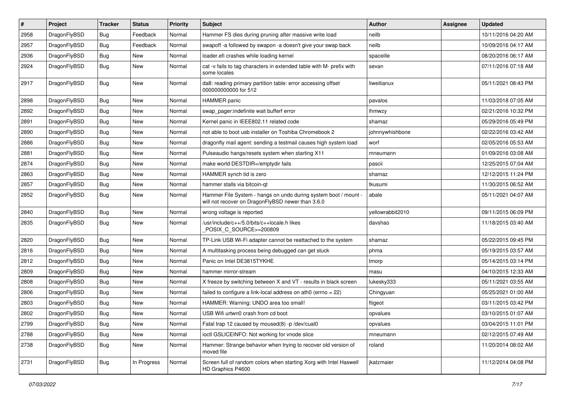| $\pmb{\#}$ | Project      | <b>Tracker</b> | <b>Status</b> | <b>Priority</b> | Subject                                                                                                              | <b>Author</b>    | <b>Assignee</b> | <b>Updated</b>      |
|------------|--------------|----------------|---------------|-----------------|----------------------------------------------------------------------------------------------------------------------|------------------|-----------------|---------------------|
| 2958       | DragonFlyBSD | Bug            | Feedback      | Normal          | Hammer FS dies during pruning after massive write load                                                               | neilb            |                 | 10/11/2016 04:20 AM |
| 2957       | DragonFlyBSD | Bug            | Feedback      | Normal          | swapoff -a followed by swapon -a doesn't give your swap back                                                         | neilb            |                 | 10/09/2016 04:17 AM |
| 2936       | DragonFlyBSD | Bug            | New           | Normal          | loader.efi crashes while loading kernel                                                                              | spaceille        |                 | 08/20/2016 06:17 AM |
| 2924       | DragonFlyBSD | Bug            | New           | Normal          | cat -v fails to tag characters in extended table with M- prefix with<br>some locales                                 | sevan            |                 | 07/11/2016 07:18 AM |
| 2917       | DragonFlyBSD | Bug            | <b>New</b>    | Normal          | da8: reading primary partition table: error accessing offset<br>000000000000 for 512                                 | liweitianux      |                 | 05/11/2021 08:43 PM |
| 2898       | DragonFlyBSD | Bug            | <b>New</b>    | Normal          | HAMMER panic                                                                                                         | pavalos          |                 | 11/03/2018 07:05 AM |
| 2892       | DragonFlyBSD | Bug            | <b>New</b>    | Normal          | swap pager:indefinite wait bufferf error                                                                             | lhmwzy           |                 | 02/21/2016 10:32 PM |
| 2891       | DragonFlyBSD | Bug            | <b>New</b>    | Normal          | Kernel panic in IEEE802.11 related code                                                                              | shamaz           |                 | 05/29/2016 05:49 PM |
| 2890       | DragonFlyBSD | Bug            | <b>New</b>    | Normal          | not able to boot usb installer on Toshiba Chromebook 2                                                               | johnnywhishbone  |                 | 02/22/2016 03:42 AM |
| 2886       | DragonFlyBSD | Bug            | <b>New</b>    | Normal          | dragonfly mail agent: sending a testmail causes high system load                                                     | worf             |                 | 02/05/2016 05:53 AM |
| 2881       | DragonFlyBSD | Bug            | <b>New</b>    | Normal          | Pulseaudio hangs/resets system when starting X11                                                                     | mneumann         |                 | 01/09/2016 03:08 AM |
| 2874       | DragonFlyBSD | Bug            | New           | Normal          | make world DESTDIR=/emptydir fails                                                                                   | pascii           |                 | 12/25/2015 07:04 AM |
| 2863       | DragonFlyBSD | Bug            | <b>New</b>    | Normal          | HAMMER synch tid is zero                                                                                             | shamaz           |                 | 12/12/2015 11:24 PM |
| 2857       | DragonFlyBSD | Bug            | <b>New</b>    | Normal          | hammer stalls via bitcoin-qt                                                                                         | tkusumi          |                 | 11/30/2015 06:52 AM |
| 2852       | DragonFlyBSD | Bug            | <b>New</b>    | Normal          | Hammer File System - hangs on undo during system boot / mount -<br>will not recover on DragonFlyBSD newer than 3.6.0 | abale            |                 | 05/11/2021 04:07 AM |
| 2840       | DragonFlyBSD | Bug            | New           | Normal          | wrong voltage is reported                                                                                            | yellowrabbit2010 |                 | 09/11/2015 06:09 PM |
| 2835       | DragonFlyBSD | Bug            | <b>New</b>    | Normal          | /usr/include/c++/5.0/bits/c++locale.h likes<br>POSIX_C_SOURCE>=200809                                                | davshao          |                 | 11/18/2015 03:40 AM |
| 2820       | DragonFlyBSD | Bug            | <b>New</b>    | Normal          | TP-Link USB Wi-Fi adapter cannot be reattached to the system                                                         | shamaz           |                 | 05/22/2015 09:45 PM |
| 2816       | DragonFlyBSD | Bug            | <b>New</b>    | Normal          | A multitasking process being debugged can get stuck                                                                  | phma             |                 | 05/19/2015 03:57 AM |
| 2812       | DragonFlyBSD | Bug            | New           | Normal          | Panic on Intel DE3815TYKHE                                                                                           | tmorp            |                 | 05/14/2015 03:14 PM |
| 2809       | DragonFlyBSD | Bug            | <b>New</b>    | Normal          | hammer mirror-stream                                                                                                 | masu             |                 | 04/10/2015 12:33 AM |
| 2808       | DragonFlyBSD | Bug            | <b>New</b>    | Normal          | X freeze by switching between X and VT - results in black screen                                                     | lukesky333       |                 | 05/11/2021 03:55 AM |
| 2806       | DragonFlyBSD | Bug            | New           | Normal          | failed to configure a link-local address on ath0 (errno = 22)                                                        | Chingyuan        |                 | 05/25/2021 01:00 AM |
| 2803       | DragonFlyBSD | Bug            | New           | Normal          | HAMMER: Warning: UNDO area too small!                                                                                | ftigeot          |                 | 03/11/2015 03:42 PM |
| 2802       | DragonFlyBSD | <b>Bug</b>     | New           | Normal          | USB Wifi urtwn0 crash from cd boot                                                                                   | opvalues         |                 | 03/10/2015 01:07 AM |
| 2799       | DragonFlyBSD | <b>Bug</b>     | New           | Normal          | Fatal trap 12 caused by moused(8) -p /dev/cual0                                                                      | opvalues         |                 | 03/04/2015 11:01 PM |
| 2788       | DragonFlyBSD | Bug            | New           | Normal          | ioctl GSLICEINFO: Not working for vnode slice                                                                        | mneumann         |                 | 02/12/2015 07:49 AM |
| 2738       | DragonFlyBSD | <b>Bug</b>     | New           | Normal          | Hammer: Strange behavior when trying to recover old version of<br>moved file                                         | roland           |                 | 11/20/2014 08:02 AM |
| 2731       | DragonFlyBSD | Bug            | In Progress   | Normal          | Screen full of random colors when starting Xorg with Intel Haswell<br>HD Graphics P4600                              | jkatzmaier       |                 | 11/12/2014 04:08 PM |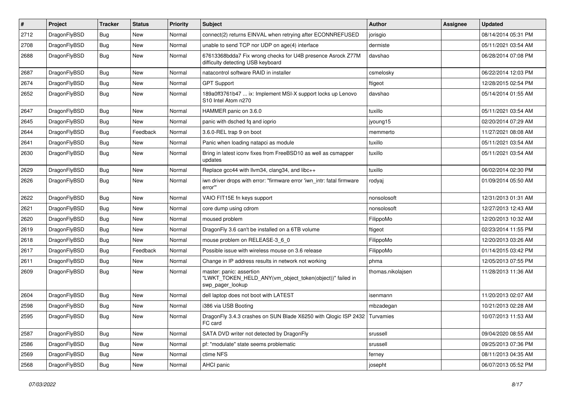| $\sharp$ | Project      | <b>Tracker</b> | <b>Status</b> | <b>Priority</b> | Subject                                                                                                  | Author            | Assignee | <b>Updated</b>      |
|----------|--------------|----------------|---------------|-----------------|----------------------------------------------------------------------------------------------------------|-------------------|----------|---------------------|
| 2712     | DragonFlyBSD | Bug            | <b>New</b>    | Normal          | connect(2) returns EINVAL when retrying after ECONNREFUSED                                               | jorisgio          |          | 08/14/2014 05:31 PM |
| 2708     | DragonFlyBSD | Bug            | <b>New</b>    | Normal          | unable to send TCP nor UDP on age(4) interface                                                           | dermiste          |          | 05/11/2021 03:54 AM |
| 2688     | DragonFlyBSD | <b>Bug</b>     | <b>New</b>    | Normal          | 67613368bdda7 Fix wrong checks for U4B presence Asrock Z77M<br>difficulty detecting USB keyboard         | davshao           |          | 06/28/2014 07:08 PM |
| 2687     | DragonFlyBSD | Bug            | <b>New</b>    | Normal          | natacontrol software RAID in installer                                                                   | csmelosky         |          | 06/22/2014 12:03 PM |
| 2674     | DragonFlyBSD | <b>Bug</b>     | <b>New</b>    | Normal          | <b>GPT Support</b>                                                                                       | ftigeot           |          | 12/28/2015 02:54 PM |
| 2652     | DragonFlyBSD | <b>Bug</b>     | <b>New</b>    | Normal          | 189a0ff3761b47  ix: Implement MSI-X support locks up Lenovo<br>S10 Intel Atom n270                       | davshao           |          | 05/14/2014 01:55 AM |
| 2647     | DragonFlyBSD | Bug            | <b>New</b>    | Normal          | HAMMER panic on 3.6.0                                                                                    | tuxillo           |          | 05/11/2021 03:54 AM |
| 2645     | DragonFlyBSD | Bug            | <b>New</b>    | Normal          | panic with dsched fq and ioprio                                                                          | jyoung15          |          | 02/20/2014 07:29 AM |
| 2644     | DragonFlyBSD | <b>Bug</b>     | Feedback      | Normal          | 3.6.0-REL trap 9 on boot                                                                                 | memmerto          |          | 11/27/2021 08:08 AM |
| 2641     | DragonFlyBSD | Bug            | <b>New</b>    | Normal          | Panic when loading natapci as module                                                                     | tuxillo           |          | 05/11/2021 03:54 AM |
| 2630     | DragonFlyBSD | Bug            | <b>New</b>    | Normal          | Bring in latest iconv fixes from FreeBSD10 as well as csmapper<br>updates                                | tuxillo           |          | 05/11/2021 03:54 AM |
| 2629     | DragonFlyBSD | Bug            | <b>New</b>    | Normal          | Replace gcc44 with llvm34, clang34, and libc++                                                           | tuxillo           |          | 06/02/2014 02:30 PM |
| 2626     | DragonFlyBSD | Bug            | New           | Normal          | iwn driver drops with error: "firmware error 'iwn intr: fatal firmware<br>error""                        | rodyaj            |          | 01/09/2014 05:50 AM |
| 2622     | DragonFlyBSD | Bug            | New           | Normal          | VAIO FIT15E fn keys support                                                                              | nonsolosoft       |          | 12/31/2013 01:31 AM |
| 2621     | DragonFlyBSD | <b>Bug</b>     | <b>New</b>    | Normal          | core dump using cdrom                                                                                    | nonsolosoft       |          | 12/27/2013 12:43 AM |
| 2620     | DragonFlyBSD | <b>Bug</b>     | <b>New</b>    | Normal          | moused problem                                                                                           | FilippoMo         |          | 12/20/2013 10:32 AM |
| 2619     | DragonFlyBSD | Bug            | <b>New</b>    | Normal          | DragonFly 3.6 can't be installed on a 6TB volume                                                         | ftigeot           |          | 02/23/2014 11:55 PM |
| 2618     | DragonFlyBSD | <b>Bug</b>     | <b>New</b>    | Normal          | mouse problem on RELEASE-3_6_0                                                                           | FilippoMo         |          | 12/20/2013 03:26 AM |
| 2617     | DragonFlyBSD | Bug            | Feedback      | Normal          | Possible issue with wireless mouse on 3.6 release                                                        | FilippoMo         |          | 01/14/2015 03:42 PM |
| 2611     | DragonFlyBSD | <b>Bug</b>     | <b>New</b>    | Normal          | Change in IP address results in network not working                                                      | phma              |          | 12/05/2013 07:55 PM |
| 2609     | DragonFlyBSD | <b>Bug</b>     | New           | Normal          | master: panic: assertion<br>"LWKT_TOKEN_HELD_ANY(vm_object_token(object))" failed in<br>swp_pager_lookup | thomas.nikolajsen |          | 11/28/2013 11:36 AM |
| 2604     | DragonFlyBSD | Bug            | <b>New</b>    | Normal          | dell laptop does not boot with LATEST                                                                    | isenmann          |          | 11/20/2013 02:07 AM |
| 2598     | DragonFlyBSD | Bug            | <b>New</b>    | Normal          | i386 via USB Booting                                                                                     | mbzadegan         |          | 10/21/2013 02:28 AM |
| 2595     | DragonFlyBSD | <b>Bug</b>     | <b>New</b>    | Normal          | DragonFly 3.4.3 crashes on SUN Blade X6250 with Qlogic ISP 2432 Turvamies<br>FC card                     |                   |          | 10/07/2013 11:53 AM |
| 2587     | DragonFlyBSD | Bug            | New           | Normal          | SATA DVD writer not detected by DragonFly                                                                | srussell          |          | 09/04/2020 08:55 AM |
| 2586     | DragonFlyBSD | Bug            | New           | Normal          | pf: "modulate" state seems problematic                                                                   | srussell          |          | 09/25/2013 07:36 PM |
| 2569     | DragonFlyBSD | Bug            | New           | Normal          | ctime NFS                                                                                                | ferney            |          | 08/11/2013 04:35 AM |
| 2568     | DragonFlyBSD | <b>Bug</b>     | New           | Normal          | AHCI panic                                                                                               | josepht           |          | 06/07/2013 05:52 PM |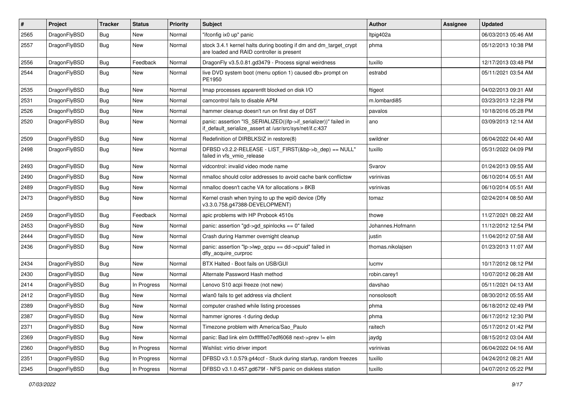| $\vert$ # | Project      | <b>Tracker</b> | <b>Status</b> | <b>Priority</b> | Subject                                                                                                                      | <b>Author</b>     | Assignee | <b>Updated</b>      |
|-----------|--------------|----------------|---------------|-----------------|------------------------------------------------------------------------------------------------------------------------------|-------------------|----------|---------------------|
| 2565      | DragonFlyBSD | Bug            | New           | Normal          | "ifconfig ix0 up" panic                                                                                                      | Itpig402a         |          | 06/03/2013 05:46 AM |
| 2557      | DragonFlyBSD | Bug            | New           | Normal          | stock 3.4.1 kernel halts during booting if dm and dm_target_crypt<br>are loaded and RAID controller is present               | phma              |          | 05/12/2013 10:38 PM |
| 2556      | DragonFlyBSD | Bug            | Feedback      | Normal          | DragonFly v3.5.0.81.gd3479 - Process signal weirdness                                                                        | tuxillo           |          | 12/17/2013 03:48 PM |
| 2544      | DragonFlyBSD | Bug            | New           | Normal          | live DVD system boot (menu option 1) caused db> prompt on<br>PE1950                                                          | estrabd           |          | 05/11/2021 03:54 AM |
| 2535      | DragonFlyBSD | Bug            | New           | Normal          | Imap processes apparentlt blocked on disk I/O                                                                                | ftigeot           |          | 04/02/2013 09:31 AM |
| 2531      | DragonFlyBSD | Bug            | New           | Normal          | camcontrol fails to disable APM                                                                                              | m.lombardi85      |          | 03/23/2013 12:28 PM |
| 2526      | DragonFlyBSD | Bug            | <b>New</b>    | Normal          | hammer cleanup doesn't run on first day of DST                                                                               | pavalos           |          | 10/18/2016 05:28 PM |
| 2520      | DragonFlyBSD | Bug            | New           | Normal          | panic: assertion "IS_SERIALIZED((ifp->if_serializer))" failed in<br>if_default_serialize_assert at /usr/src/sys/net/if.c:437 | ano               |          | 03/09/2013 12:14 AM |
| 2509      | DragonFlyBSD | Bug            | <b>New</b>    | Normal          | Redefinition of DIRBLKSIZ in restore(8)                                                                                      | swildner          |          | 06/04/2022 04:40 AM |
| 2498      | DragonFlyBSD | Bug            | <b>New</b>    | Normal          | DFBSD v3.2.2-RELEASE - LIST_FIRST(&bp->b_dep) == NULL"<br>failed in vfs_vmio_release                                         | tuxillo           |          | 05/31/2022 04:09 PM |
| 2493      | DragonFlyBSD | Bug            | <b>New</b>    | Normal          | vidcontrol: invalid video mode name                                                                                          | Svarov            |          | 01/24/2013 09:55 AM |
| 2490      | DragonFlyBSD | Bug            | New           | Normal          | nmalloc should color addresses to avoid cache bank conflictsw                                                                | vsrinivas         |          | 06/10/2014 05:51 AM |
| 2489      | DragonFlyBSD | Bug            | <b>New</b>    | Normal          | nmalloc doesn't cache VA for allocations > 8KB                                                                               | vsrinivas         |          | 06/10/2014 05:51 AM |
| 2473      | DragonFlyBSD | Bug            | New           | Normal          | Kernel crash when trying to up the wpi0 device (Dfly<br>v3.3.0.758.g47388-DEVELOPMENT)                                       | tomaz             |          | 02/24/2014 08:50 AM |
| 2459      | DragonFlyBSD | Bug            | Feedback      | Normal          | apic problems with HP Probook 4510s                                                                                          | thowe             |          | 11/27/2021 08:22 AM |
| 2453      | DragonFlyBSD | Bug            | New           | Normal          | panic: assertion "gd->gd_spinlocks == 0" failed                                                                              | Johannes.Hofmann  |          | 11/12/2012 12:54 PM |
| 2444      | DragonFlyBSD | Bug            | New           | Normal          | Crash during Hammer overnight cleanup                                                                                        | justin            |          | 11/04/2012 07:58 AM |
| 2436      | DragonFlyBSD | Bug            | New           | Normal          | panic: assertion "lp->lwp_qcpu == dd->cpuid" failed in<br>dfly_acquire_curproc                                               | thomas.nikolajsen |          | 01/23/2013 11:07 AM |
| 2434      | DragonFlyBSD | Bug            | <b>New</b>    | Normal          | BTX Halted - Boot fails on USB/GUI                                                                                           | lucmv             |          | 10/17/2012 08:12 PM |
| 2430      | DragonFlyBSD | Bug            | New           | Normal          | Alternate Password Hash method                                                                                               | robin.carey1      |          | 10/07/2012 06:28 AM |
| 2414      | DragonFlyBSD | Bug            | In Progress   | Normal          | Lenovo S10 acpi freeze (not new)                                                                                             | davshao           |          | 05/11/2021 04:13 AM |
| 2412      | DragonFlyBSD | Bug            | New           | Normal          | wlan0 fails to get address via dhclient                                                                                      | nonsolosoft       |          | 08/30/2012 05:55 AM |
| 2389      | DragonFlyBSD | Bug            | New           | Normal          | computer crashed while listing processes                                                                                     | phma              |          | 06/18/2012 02:49 PM |
| 2387      | DragonFlyBSD | Bug            | <b>New</b>    | Normal          | hammer ignores -t during dedup                                                                                               | phma              |          | 06/17/2012 12:30 PM |
| 2371      | DragonFlyBSD | Bug            | New           | Normal          | Timezone problem with America/Sao_Paulo                                                                                      | raitech           |          | 05/17/2012 01:42 PM |
| 2369      | DragonFlyBSD | Bug            | New           | Normal          | panic: Bad link elm 0xffffffe07edf6068 next->prev != elm                                                                     | jaydg             |          | 08/15/2012 03:04 AM |
| 2360      | DragonFlyBSD | <b>Bug</b>     | In Progress   | Normal          | Wishlist: virtio driver import                                                                                               | vsrinivas         |          | 06/04/2022 04:16 AM |
| 2351      | DragonFlyBSD | Bug            | In Progress   | Normal          | DFBSD v3.1.0.579.g44ccf - Stuck during startup, random freezes                                                               | tuxillo           |          | 04/24/2012 08:21 AM |
| 2345      | DragonFlyBSD | <b>Bug</b>     | In Progress   | Normal          | DFBSD v3.1.0.457.gd679f - NFS panic on diskless station                                                                      | tuxillo           |          | 04/07/2012 05:22 PM |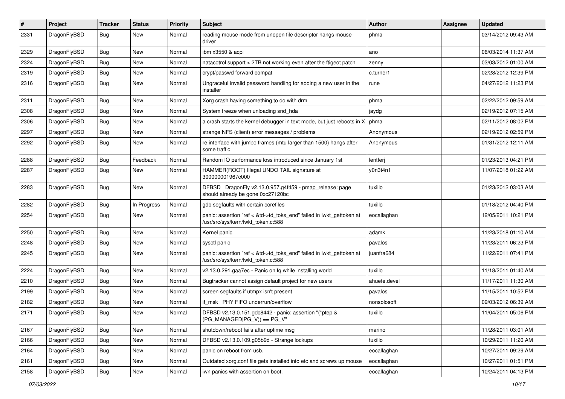| $\sharp$ | Project      | <b>Tracker</b> | <b>Status</b> | <b>Priority</b> | Subject                                                                                                    | Author       | Assignee | <b>Updated</b>      |
|----------|--------------|----------------|---------------|-----------------|------------------------------------------------------------------------------------------------------------|--------------|----------|---------------------|
| 2331     | DragonFlyBSD | <b>Bug</b>     | <b>New</b>    | Normal          | reading mouse mode from unopen file descriptor hangs mouse<br>driver                                       | phma         |          | 03/14/2012 09:43 AM |
| 2329     | DragonFlyBSD | <b>Bug</b>     | New           | Normal          | ibm x3550 & acpi                                                                                           | ano          |          | 06/03/2014 11:37 AM |
| 2324     | DragonFlyBSD | Bug            | New           | Normal          | natacotrol support > 2TB not working even after the ftigeot patch                                          | zenny        |          | 03/03/2012 01:00 AM |
| 2319     | DragonFlyBSD | Bug            | <b>New</b>    | Normal          | crypt/passwd forward compat                                                                                | c.turner1    |          | 02/28/2012 12:39 PM |
| 2316     | DragonFlyBSD | <b>Bug</b>     | New           | Normal          | Ungraceful invalid password handling for adding a new user in the<br>installer                             | rune         |          | 04/27/2012 11:23 PM |
| 2311     | DragonFlyBSD | <b>Bug</b>     | <b>New</b>    | Normal          | Xorg crash having something to do with drm                                                                 | phma         |          | 02/22/2012 09:59 AM |
| 2308     | DragonFlyBSD | <b>Bug</b>     | New           | Normal          | System freeze when unloading snd_hda                                                                       | jaydg        |          | 02/19/2012 07:15 AM |
| 2306     | DragonFlyBSD | <b>Bug</b>     | New           | Normal          | a crash starts the kernel debugger in text mode, but just reboots in X                                     | phma         |          | 02/11/2012 08:02 PM |
| 2297     | DragonFlyBSD | Bug            | New           | Normal          | strange NFS (client) error messages / problems                                                             | Anonymous    |          | 02/19/2012 02:59 PM |
| 2292     | DragonFlyBSD | <b>Bug</b>     | New           | Normal          | re interface with jumbo frames (mtu larger than 1500) hangs after<br>some traffic                          | Anonymous    |          | 01/31/2012 12:11 AM |
| 2288     | DragonFlyBSD | <b>Bug</b>     | Feedback      | Normal          | Random IO performance loss introduced since January 1st                                                    | lentferj     |          | 01/23/2013 04:21 PM |
| 2287     | DragonFlyBSD | <b>Bug</b>     | New           | Normal          | HAMMER(ROOT) Illegal UNDO TAIL signature at<br>300000001967c000                                            | y0n3t4n1     |          | 11/07/2018 01:22 AM |
| 2283     | DragonFlyBSD | Bug            | <b>New</b>    | Normal          | DFBSD DragonFly v2.13.0.957.g4f459 - pmap_release: page<br>should already be gone 0xc27120bc               | tuxillo      |          | 01/23/2012 03:03 AM |
| 2282     | DragonFlyBSD | <b>Bug</b>     | In Progress   | Normal          | gdb segfaults with certain corefiles                                                                       | tuxillo      |          | 01/18/2012 04:40 PM |
| 2254     | DragonFlyBSD | <b>Bug</b>     | New           | Normal          | panic: assertion "ref < &td->td_toks_end" failed in lwkt_gettoken at<br>/usr/src/sys/kern/lwkt_token.c:588 | eocallaghan  |          | 12/05/2011 10:21 PM |
| 2250     | DragonFlyBSD | <b>Bug</b>     | <b>New</b>    | Normal          | Kernel panic                                                                                               | adamk        |          | 11/23/2018 01:10 AM |
| 2248     | DragonFlyBSD | <b>Bug</b>     | New           | Normal          | sysctl panic                                                                                               | pavalos      |          | 11/23/2011 06:23 PM |
| 2245     | DragonFlyBSD | <b>Bug</b>     | New           | Normal          | panic: assertion "ref < &td->td_toks_end" failed in lwkt_gettoken at<br>/usr/src/sys/kern/lwkt token.c:588 | juanfra684   |          | 11/22/2011 07:41 PM |
| 2224     | DragonFlyBSD | <b>Bug</b>     | <b>New</b>    | Normal          | v2.13.0.291.gaa7ec - Panic on fq while installing world                                                    | tuxillo      |          | 11/18/2011 01:40 AM |
| 2210     | DragonFlyBSD | Bug            | <b>New</b>    | Normal          | Bugtracker cannot assign default project for new users                                                     | ahuete.devel |          | 11/17/2011 11:30 AM |
| 2199     | DragonFlyBSD | <b>Bug</b>     | New           | Normal          | screen segfaults if utmpx isn't present                                                                    | pavalos      |          | 11/15/2011 10:52 PM |
| 2182     | DragonFlyBSD | <b>Bug</b>     | <b>New</b>    | Normal          | if msk PHY FIFO underrun/overflow                                                                          | nonsolosoft  |          | 09/03/2012 06:39 AM |
| 2171     | DragonFlyBSD | <b>Bug</b>     | New           | Normal          | DFBSD v2.13.0.151.gdc8442 - panic: assertion "(*ptep &<br>$(PG_MANAGED PG_V)) == PG_V"$                    | tuxillo      |          | 11/04/2011 05:06 PM |
| 2167     | DragonFlyBSD | Bug            | New           | Normal          | shutdown/reboot fails after uptime msg                                                                     | marino       |          | 11/28/2011 03:01 AM |
| 2166     | DragonFlyBSD | <b>Bug</b>     | New           | Normal          | DFBSD v2.13.0.109.g05b9d - Strange lockups                                                                 | tuxillo      |          | 10/29/2011 11:20 AM |
| 2164     | DragonFlyBSD | <b>Bug</b>     | New           | Normal          | panic on reboot from usb.                                                                                  | eocallaghan  |          | 10/27/2011 09:29 AM |
| 2161     | DragonFlyBSD | <b>Bug</b>     | New           | Normal          | Outdated xorg.conf file gets installed into etc and screws up mouse                                        | eocallaghan  |          | 10/27/2011 01:51 PM |
| 2158     | DragonFlyBSD | <b>Bug</b>     | New           | Normal          | iwn panics with assertion on boot.                                                                         | eocallaghan  |          | 10/24/2011 04:13 PM |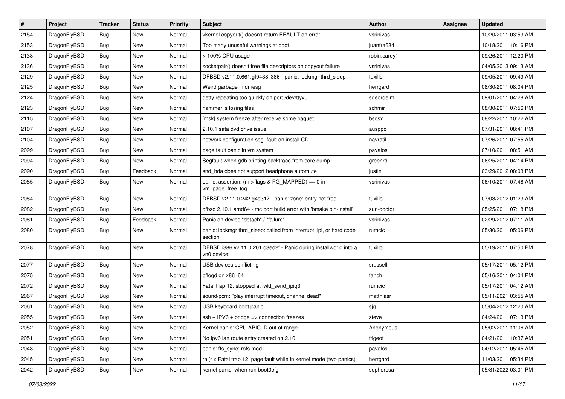| $\vert$ # | Project      | <b>Tracker</b> | <b>Status</b> | <b>Priority</b> | Subject                                                                        | <b>Author</b> | <b>Assignee</b> | <b>Updated</b>      |
|-----------|--------------|----------------|---------------|-----------------|--------------------------------------------------------------------------------|---------------|-----------------|---------------------|
| 2154      | DragonFlyBSD | Bug            | <b>New</b>    | Normal          | vkernel copyout() doesn't return EFAULT on error                               | vsrinivas     |                 | 10/20/2011 03:53 AM |
| 2153      | DragonFlyBSD | Bug            | <b>New</b>    | Normal          | Too many unuseful warnings at boot                                             | juanfra684    |                 | 10/18/2011 10:16 PM |
| 2138      | DragonFlyBSD | Bug            | <b>New</b>    | Normal          | > 100% CPU usage                                                               | robin.carey1  |                 | 09/26/2011 12:20 PM |
| 2136      | DragonFlyBSD | Bug            | New           | Normal          | socketpair() doesn't free file descriptors on copyout failure                  | vsrinivas     |                 | 04/05/2013 09:13 AM |
| 2129      | DragonFlyBSD | Bug            | <b>New</b>    | Normal          | DFBSD v2.11.0.661.gf9438 i386 - panic: lockmgr thrd_sleep                      | tuxillo       |                 | 09/05/2011 09:49 AM |
| 2125      | DragonFlyBSD | Bug            | New           | Normal          | Weird garbage in dmesg                                                         | herrgard      |                 | 08/30/2011 08:04 PM |
| 2124      | DragonFlyBSD | Bug            | <b>New</b>    | Normal          | getty repeating too quickly on port /dev/ttyv0                                 | sgeorge.ml    |                 | 09/01/2011 04:28 AM |
| 2123      | DragonFlyBSD | Bug            | <b>New</b>    | Normal          | hammer is losing files                                                         | schmir        |                 | 08/30/2011 07:56 PM |
| 2115      | DragonFlyBSD | Bug            | New           | Normal          | [msk] system freeze after receive some paquet                                  | bsdsx         |                 | 08/22/2011 10:22 AM |
| 2107      | DragonFlyBSD | Bug            | <b>New</b>    | Normal          | 2.10.1 sata dvd drive issue                                                    | ausppc        |                 | 07/31/2011 08:41 PM |
| 2104      | DragonFlyBSD | Bug            | <b>New</b>    | Normal          | network configuration seg. fault on install CD                                 | navratil      |                 | 07/26/2011 07:55 AM |
| 2099      | DragonFlyBSD | Bug            | <b>New</b>    | Normal          | page fault panic in vm system                                                  | pavalos       |                 | 07/10/2011 08:51 AM |
| 2094      | DragonFlyBSD | Bug            | New           | Normal          | Segfault when gdb printing backtrace from core dump                            | greenrd       |                 | 06/25/2011 04:14 PM |
| 2090      | DragonFlyBSD | Bug            | Feedback      | Normal          | snd_hda does not support headphone automute                                    | justin        |                 | 03/29/2012 08:03 PM |
| 2085      | DragonFlyBSD | Bug            | <b>New</b>    | Normal          | panic: assertion: (m->flags & PG_MAPPED) == 0 in<br>vm page free tog           | vsrinivas     |                 | 06/10/2011 07:48 AM |
| 2084      | DragonFlyBSD | Bug            | <b>New</b>    | Normal          | DFBSD v2.11.0.242.g4d317 - panic: zone: entry not free                         | tuxillo       |                 | 07/03/2012 01:23 AM |
| 2082      | DragonFlyBSD | Bug            | New           | Normal          | dfbsd 2.10.1 amd64 - mc port build error with 'bmake bin-install'              | sun-doctor    |                 | 05/25/2011 07:18 PM |
| 2081      | DragonFlyBSD | Bug            | Feedback      | Normal          | Panic on device "detach" / "failure"                                           | vsrinivas     |                 | 02/29/2012 07:11 AM |
| 2080      | DragonFlyBSD | Bug            | <b>New</b>    | Normal          | panic: lockmgr thrd_sleep: called from interrupt, ipi, or hard code<br>section | rumcic        |                 | 05/30/2011 05:06 PM |
| 2078      | DragonFlyBSD | Bug            | <b>New</b>    | Normal          | DFBSD i386 v2.11.0.201.g3ed2f - Panic during installworld into a<br>vn0 device | tuxillo       |                 | 05/19/2011 07:50 PM |
| 2077      | DragonFlyBSD | Bug            | <b>New</b>    | Normal          | USB devices conflicting                                                        | srussell      |                 | 05/17/2011 05:12 PM |
| 2075      | DragonFlyBSD | Bug            | <b>New</b>    | Normal          | pflogd on x86_64                                                               | fanch         |                 | 05/16/2011 04:04 PM |
| 2072      | DragonFlyBSD | Bug            | <b>New</b>    | Normal          | Fatal trap 12: stopped at lwkt_send_ipiq3                                      | rumcic        |                 | 05/17/2011 04:12 AM |
| 2067      | DragonFlyBSD | Bug            | New           | Normal          | sound/pcm: "play interrupt timeout, channel dead"                              | matthiasr     |                 | 05/11/2021 03:55 AM |
| 2061      | DragonFlyBSD | Bug            | <b>New</b>    | Normal          | USB keyboard boot panic                                                        | sjg           |                 | 05/04/2012 12:20 AM |
| 2055      | DragonFlyBSD | Bug            | New           | Normal          | $ssh + IPV6 + bridge \Rightarrow$ connection freezes                           | steve         |                 | 04/24/2011 07:13 PM |
| 2052      | DragonFlyBSD | <b>Bug</b>     | New           | Normal          | Kernel panic: CPU APIC ID out of range                                         | Anonymous     |                 | 05/02/2011 11:06 AM |
| 2051      | DragonFlyBSD | Bug            | New           | Normal          | No ipv6 lan route entry created on 2.10                                        | ftigeot       |                 | 04/21/2011 10:37 AM |
| 2048      | DragonFlyBSD | Bug            | New           | Normal          | panic: ffs_sync: rofs mod                                                      | pavalos       |                 | 04/12/2011 05:45 AM |
| 2045      | DragonFlyBSD | Bug            | New           | Normal          | ral(4): Fatal trap 12: page fault while in kernel mode (two panics)            | herrgard      |                 | 11/03/2011 05:34 PM |
| 2042      | DragonFlyBSD | Bug            | New           | Normal          | kernel panic, when run boot0cfg                                                | sepherosa     |                 | 05/31/2022 03:01 PM |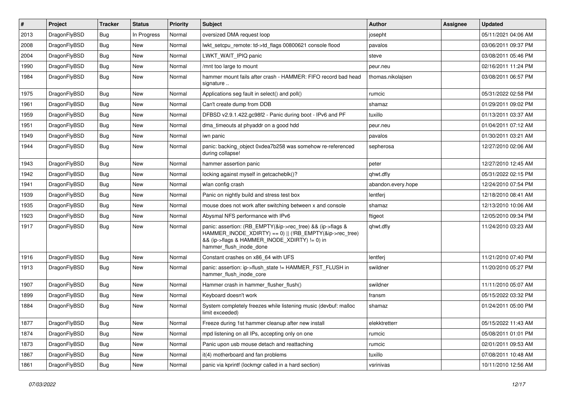| #    | Project      | <b>Tracker</b> | <b>Status</b> | <b>Priority</b> | Subject                                                                                                                                                                                           | <b>Author</b>      | Assignee | <b>Updated</b>      |
|------|--------------|----------------|---------------|-----------------|---------------------------------------------------------------------------------------------------------------------------------------------------------------------------------------------------|--------------------|----------|---------------------|
| 2013 | DragonFlyBSD | <b>Bug</b>     | In Progress   | Normal          | oversized DMA request loop                                                                                                                                                                        | josepht            |          | 05/11/2021 04:06 AM |
| 2008 | DragonFlyBSD | <b>Bug</b>     | New           | Normal          | lwkt_setcpu_remote: td->td_flags 00800621 console flood                                                                                                                                           | pavalos            |          | 03/06/2011 09:37 PM |
| 2004 | DragonFlyBSD | <b>Bug</b>     | New           | Normal          | LWKT WAIT IPIQ panic                                                                                                                                                                              | steve              |          | 03/08/2011 05:46 PM |
| 1990 | DragonFlyBSD | Bug            | <b>New</b>    | Normal          | /mnt too large to mount                                                                                                                                                                           | peur.neu           |          | 02/16/2011 11:24 PM |
| 1984 | DragonFlyBSD | Bug            | New           | Normal          | hammer mount fails after crash - HAMMER: FIFO record bad head<br>signature                                                                                                                        | thomas.nikolajsen  |          | 03/08/2011 06:57 PM |
| 1975 | DragonFlyBSD | <b>Bug</b>     | <b>New</b>    | Normal          | Applications seg fault in select() and poll()                                                                                                                                                     | rumcic             |          | 05/31/2022 02:58 PM |
| 1961 | DragonFlyBSD | Bug            | New           | Normal          | Can't create dump from DDB                                                                                                                                                                        | shamaz             |          | 01/29/2011 09:02 PM |
| 1959 | DragonFlyBSD | Bug            | New           | Normal          | DFBSD v2.9.1.422.gc98f2 - Panic during boot - IPv6 and PF                                                                                                                                         | tuxillo            |          | 01/13/2011 03:37 AM |
| 1951 | DragonFlyBSD | <b>Bug</b>     | New           | Normal          | dma timeouts at phyaddr on a good hdd                                                                                                                                                             | peur.neu           |          | 01/04/2011 07:12 AM |
| 1949 | DragonFlyBSD | Bug            | New           | Normal          | iwn panic                                                                                                                                                                                         | pavalos            |          | 01/30/2011 03:21 AM |
| 1944 | DragonFlyBSD | Bug            | New           | Normal          | panic: backing_object 0xdea7b258 was somehow re-referenced<br>during collapse!                                                                                                                    | sepherosa          |          | 12/27/2010 02:06 AM |
| 1943 | DragonFlyBSD | <b>Bug</b>     | <b>New</b>    | Normal          | hammer assertion panic                                                                                                                                                                            | peter              |          | 12/27/2010 12:45 AM |
| 1942 | DragonFlyBSD | <b>Bug</b>     | New           | Normal          | locking against myself in getcacheblk()?                                                                                                                                                          | qhwt.dfly          |          | 05/31/2022 02:15 PM |
| 1941 | DragonFlyBSD | <b>Bug</b>     | New           | Normal          | wlan config crash                                                                                                                                                                                 | abandon.every.hope |          | 12/24/2010 07:54 PM |
| 1939 | DragonFlyBSD | Bug            | <b>New</b>    | Normal          | Panic on nightly build and stress test box                                                                                                                                                        | lentferj           |          | 12/18/2010 08:41 AM |
| 1935 | DragonFlyBSD | Bug            | New           | Normal          | mouse does not work after switching between x and console                                                                                                                                         | shamaz             |          | 12/13/2010 10:06 AM |
| 1923 | DragonFlyBSD | <b>Bug</b>     | New           | Normal          | Abysmal NFS performance with IPv6                                                                                                                                                                 | ftigeot            |          | 12/05/2010 09:34 PM |
| 1917 | DragonFlyBSD | <b>Bug</b>     | <b>New</b>    | Normal          | panic: assertion: (RB_EMPTY(&ip->rec_tree) && (ip->flags &<br>HAMMER_INODE_XDIRTY) == 0)    (!RB_EMPTY(&ip->rec_tree)<br>&& (ip->flags & HAMMER_INODE_XDIRTY) != 0) in<br>hammer_flush_inode_done | qhwt.dfly          |          | 11/24/2010 03:23 AM |
| 1916 | DragonFlyBSD | <b>Bug</b>     | New           | Normal          | Constant crashes on x86_64 with UFS                                                                                                                                                               | lentferj           |          | 11/21/2010 07:40 PM |
| 1913 | DragonFlyBSD | Bug            | New           | Normal          | panic: assertion: ip->flush_state != HAMMER_FST_FLUSH in<br>hammer_flush_inode_core                                                                                                               | swildner           |          | 11/20/2010 05:27 PM |
| 1907 | DragonFlyBSD | <b>Bug</b>     | New           | Normal          | Hammer crash in hammer flusher flush()                                                                                                                                                            | swildner           |          | 11/11/2010 05:07 AM |
| 1899 | DragonFlyBSD | Bug            | New           | Normal          | Keyboard doesn't work                                                                                                                                                                             | fransm             |          | 05/15/2022 03:32 PM |
| 1884 | DragonFlyBSD | <b>Bug</b>     | New           | Normal          | System completely freezes while listening music (devbuf: malloc<br>limit exceeded)                                                                                                                | shamaz             |          | 01/24/2011 05:00 PM |
| 1877 | DragonFlyBSD | <b>Bug</b>     | New           | Normal          | Freeze during 1st hammer cleanup after new install                                                                                                                                                | elekktretterr      |          | 05/15/2022 11:43 AM |
| 1874 | DragonFlyBSD | Bug            | New           | Normal          | mpd listening on all IPs, accepting only on one                                                                                                                                                   | rumcic             |          | 05/08/2011 01:01 PM |
| 1873 | DragonFlyBSD | <b>Bug</b>     | New           | Normal          | Panic upon usb mouse detach and reattaching                                                                                                                                                       | rumcic             |          | 02/01/2011 09:53 AM |
| 1867 | DragonFlyBSD | <b>Bug</b>     | New           | Normal          | it(4) motherboard and fan problems                                                                                                                                                                | tuxillo            |          | 07/08/2011 10:48 AM |
| 1861 | DragonFlyBSD | Bug            | New           | Normal          | panic via kprintf (lockmgr called in a hard section)                                                                                                                                              | vsrinivas          |          | 10/11/2010 12:56 AM |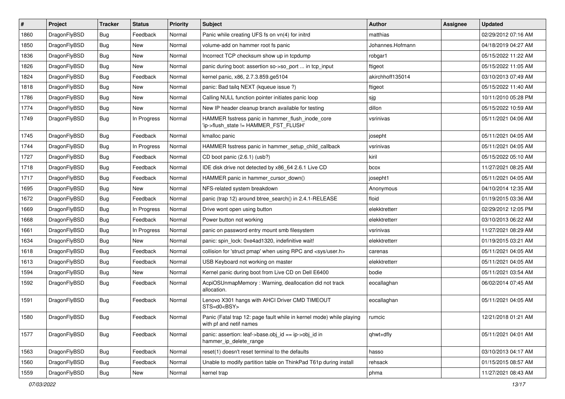| $\vert$ # | Project      | <b>Tracker</b> | <b>Status</b> | <b>Priority</b> | <b>Subject</b>                                                                                  | <b>Author</b>    | Assignee | <b>Updated</b>      |
|-----------|--------------|----------------|---------------|-----------------|-------------------------------------------------------------------------------------------------|------------------|----------|---------------------|
| 1860      | DragonFlyBSD | <b>Bug</b>     | Feedback      | Normal          | Panic while creating UFS fs on vn(4) for initrd                                                 | matthias         |          | 02/29/2012 07:16 AM |
| 1850      | DragonFlyBSD | <b>Bug</b>     | <b>New</b>    | Normal          | volume-add on hammer root fs panic                                                              | Johannes.Hofmann |          | 04/18/2019 04:27 AM |
| 1836      | DragonFlyBSD | <b>Bug</b>     | <b>New</b>    | Normal          | Incorrect TCP checksum show up in tcpdump                                                       | robgar1          |          | 05/15/2022 11:22 AM |
| 1826      | DragonFlyBSD | Bug            | <b>New</b>    | Normal          | panic during boot: assertion so->so_port  in tcp_input                                          | ftigeot          |          | 05/15/2022 11:05 AM |
| 1824      | DragonFlyBSD | Bug            | Feedback      | Normal          | kernel panic, x86, 2.7.3.859.ge5104                                                             | akirchhoff135014 |          | 03/10/2013 07:49 AM |
| 1818      | DragonFlyBSD | Bug            | <b>New</b>    | Normal          | panic: Bad tailq NEXT (kqueue issue ?)                                                          | ftigeot          |          | 05/15/2022 11:40 AM |
| 1786      | DragonFlyBSD | <b>Bug</b>     | <b>New</b>    | Normal          | Calling NULL function pointer initiates panic loop                                              | sjg              |          | 10/11/2010 05:28 PM |
| 1774      | DragonFlyBSD | <b>Bug</b>     | <b>New</b>    | Normal          | New IP header cleanup branch available for testing                                              | dillon           |          | 05/15/2022 10:59 AM |
| 1749      | DragonFlyBSD | Bug            | In Progress   | Normal          | HAMMER fsstress panic in hammer_flush_inode_core<br>'ip->flush_state != HAMMER_FST_FLUSH'       | vsrinivas        |          | 05/11/2021 04:06 AM |
| 1745      | DragonFlyBSD | <b>Bug</b>     | Feedback      | Normal          | kmalloc panic                                                                                   | josepht          |          | 05/11/2021 04:05 AM |
| 1744      | DragonFlyBSD | Bug            | In Progress   | Normal          | HAMMER fsstress panic in hammer_setup_child_callback                                            | vsrinivas        |          | 05/11/2021 04:05 AM |
| 1727      | DragonFlyBSD | <b>Bug</b>     | Feedback      | Normal          | CD boot panic (2.6.1) (usb?)                                                                    | kiril            |          | 05/15/2022 05:10 AM |
| 1718      | DragonFlyBSD | <b>Bug</b>     | Feedback      | Normal          | IDE disk drive not detected by x86 64 2.6.1 Live CD                                             | bcox             |          | 11/27/2021 08:25 AM |
| 1717      | DragonFlyBSD | <b>Bug</b>     | Feedback      | Normal          | HAMMER panic in hammer_cursor_down()                                                            | josepht1         |          | 05/11/2021 04:05 AM |
| 1695      | DragonFlyBSD | <b>Bug</b>     | <b>New</b>    | Normal          | NFS-related system breakdown                                                                    | Anonymous        |          | 04/10/2014 12:35 AM |
| 1672      | DragonFlyBSD | Bug            | Feedback      | Normal          | panic (trap 12) around btree_search() in 2.4.1-RELEASE                                          | floid            |          | 01/19/2015 03:36 AM |
| 1669      | DragonFlyBSD | Bug            | In Progress   | Normal          | Drive wont open using button                                                                    | elekktretterr    |          | 02/29/2012 12:05 PM |
| 1668      | DragonFlyBSD | <b>Bug</b>     | Feedback      | Normal          | Power button not working                                                                        | elekktretterr    |          | 03/10/2013 06:22 AM |
| 1661      | DragonFlyBSD | <b>Bug</b>     | In Progress   | Normal          | panic on password entry mount smb filesystem                                                    | vsrinivas        |          | 11/27/2021 08:29 AM |
| 1634      | DragonFlyBSD | <b>Bug</b>     | New           | Normal          | panic: spin_lock: 0xe4ad1320, indefinitive wait!                                                | elekktretterr    |          | 01/19/2015 03:21 AM |
| 1618      | DragonFlyBSD | <b>Bug</b>     | Feedback      | Normal          | collision for 'struct pmap' when using RPC and <sys user.h=""></sys>                            | carenas          |          | 05/11/2021 04:05 AM |
| 1613      | DragonFlyBSD | <b>Bug</b>     | Feedback      | Normal          | USB Keyboard not working on master                                                              | elekktretterr    |          | 05/11/2021 04:05 AM |
| 1594      | DragonFlyBSD | <b>Bug</b>     | New           | Normal          | Kernel panic during boot from Live CD on Dell E6400                                             | bodie            |          | 05/11/2021 03:54 AM |
| 1592      | DragonFlyBSD | Bug            | Feedback      | Normal          | AcpiOSUnmapMemory: Warning, deallocation did not track<br>allocation.                           | eocallaghan      |          | 06/02/2014 07:45 AM |
| 1591      | DragonFlyBSD | Bug            | Feedback      | Normal          | Lenovo X301 hangs with AHCI Driver CMD TIMEOUT<br>STS=d0 <bsy></bsy>                            | eocallaghan      |          | 05/11/2021 04:05 AM |
| 1580      | DragonFlyBSD | <b>Bug</b>     | Feedback      | Normal          | Panic (Fatal trap 12: page fault while in kernel mode) while playing<br>with pf and netif names | rumcic           |          | 12/21/2018 01:21 AM |
| 1577      | DragonFlyBSD | Bug            | Feedback      | Normal          | panic: assertion: leaf->base.obj_id == ip->obj_id in<br>hammer_ip_delete_range                  | qhwt+dfly        |          | 05/11/2021 04:01 AM |
| 1563      | DragonFlyBSD | <b>Bug</b>     | Feedback      | Normal          | reset(1) doesn't reset terminal to the defaults                                                 | hasso            |          | 03/10/2013 04:17 AM |
| 1560      | DragonFlyBSD | <b>Bug</b>     | Feedback      | Normal          | Unable to modify partition table on ThinkPad T61p during install                                | rehsack          |          | 01/15/2015 08:57 AM |
| 1559      | DragonFlyBSD | Bug            | New           | Normal          | kernel trap                                                                                     | phma             |          | 11/27/2021 08:43 AM |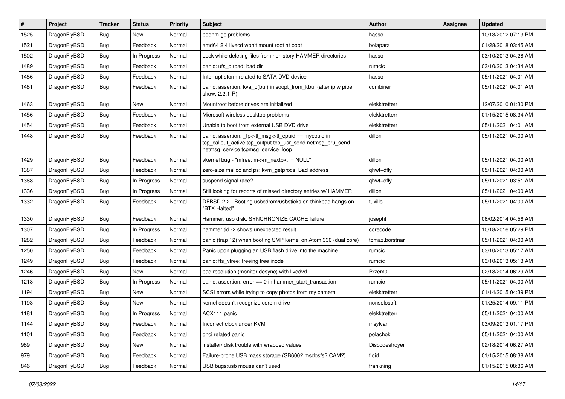| $\vert$ # | Project      | <b>Tracker</b> | <b>Status</b> | <b>Priority</b> | Subject                                                                                                                                                   | Author         | Assignee | <b>Updated</b>      |
|-----------|--------------|----------------|---------------|-----------------|-----------------------------------------------------------------------------------------------------------------------------------------------------------|----------------|----------|---------------------|
| 1525      | DragonFlyBSD | Bug            | <b>New</b>    | Normal          | boehm-gc problems                                                                                                                                         | hasso          |          | 10/13/2012 07:13 PM |
| 1521      | DragonFlyBSD | <b>Bug</b>     | Feedback      | Normal          | amd64 2.4 livecd won't mount root at boot                                                                                                                 | bolapara       |          | 01/28/2018 03:45 AM |
| 1502      | DragonFlyBSD | <b>Bug</b>     | In Progress   | Normal          | Lock while deleting files from nohistory HAMMER directories                                                                                               | hasso          |          | 03/10/2013 04:28 AM |
| 1489      | DragonFlyBSD | Bug            | Feedback      | Normal          | panic: ufs dirbad: bad dir                                                                                                                                | rumcic         |          | 03/10/2013 04:34 AM |
| 1486      | DragonFlyBSD | Bug            | Feedback      | Normal          | Interrupt storm related to SATA DVD device                                                                                                                | hasso          |          | 05/11/2021 04:01 AM |
| 1481      | DragonFlyBSD | Bug            | Feedback      | Normal          | panic: assertion: kva p(buf) in soopt from kbuf (after ipfw pipe<br>show, 2.2.1-R)                                                                        | combiner       |          | 05/11/2021 04:01 AM |
| 1463      | DragonFlyBSD | <b>Bug</b>     | New           | Normal          | Mountroot before drives are initialized                                                                                                                   | elekktretterr  |          | 12/07/2010 01:30 PM |
| 1456      | DragonFlyBSD | <b>Bug</b>     | Feedback      | Normal          | Microsoft wireless desktop problems                                                                                                                       | elekktretterr  |          | 01/15/2015 08:34 AM |
| 1454      | DragonFlyBSD | <b>Bug</b>     | Feedback      | Normal          | Unable to boot from external USB DVD drive                                                                                                                | elekktretterr  |          | 05/11/2021 04:01 AM |
| 1448      | DragonFlyBSD | Bug            | Feedback      | Normal          | panic: assertion: _tp->tt_msg->tt_cpuid == mycpuid in<br>tcp_callout_active tcp_output tcp_usr_send netmsg_pru_send<br>netmsg_service tcpmsg_service_loop | dillon         |          | 05/11/2021 04:00 AM |
| 1429      | DragonFlyBSD | <b>Bug</b>     | Feedback      | Normal          | vkernel bug - "mfree: m->m_nextpkt != NULL"                                                                                                               | dillon         |          | 05/11/2021 04:00 AM |
| 1387      | DragonFlyBSD | Bug            | Feedback      | Normal          | zero-size malloc and ps: kvm_getprocs: Bad address                                                                                                        | qhwt+dfly      |          | 05/11/2021 04:00 AM |
| 1368      | DragonFlyBSD | <b>Bug</b>     | In Progress   | Normal          | suspend signal race?                                                                                                                                      | qhwt+dfly      |          | 05/11/2021 03:51 AM |
| 1336      | DragonFlyBSD | Bug            | In Progress   | Normal          | Still looking for reports of missed directory entries w/ HAMMER                                                                                           | dillon         |          | 05/11/2021 04:00 AM |
| 1332      | DragonFlyBSD | Bug            | Feedback      | Normal          | DFBSD 2.2 - Booting usbcdrom/usbsticks on thinkpad hangs on<br>"BTX Halted"                                                                               | tuxillo        |          | 05/11/2021 04:00 AM |
| 1330      | DragonFlyBSD | <b>Bug</b>     | Feedback      | Normal          | Hammer, usb disk, SYNCHRONIZE CACHE failure                                                                                                               | josepht        |          | 06/02/2014 04:56 AM |
| 1307      | DragonFlyBSD | Bug            | In Progress   | Normal          | hammer tid -2 shows unexpected result                                                                                                                     | corecode       |          | 10/18/2016 05:29 PM |
| 1282      | DragonFlyBSD | <b>Bug</b>     | Feedback      | Normal          | panic (trap 12) when booting SMP kernel on Atom 330 (dual core)                                                                                           | tomaz.borstnar |          | 05/11/2021 04:00 AM |
| 1250      | DragonFlyBSD | Bug            | Feedback      | Normal          | Panic upon plugging an USB flash drive into the machine                                                                                                   | rumcic         |          | 03/10/2013 05:17 AM |
| 1249      | DragonFlyBSD | <b>Bug</b>     | Feedback      | Normal          | panic: ffs vfree: freeing free inode                                                                                                                      | rumcic         |          | 03/10/2013 05:13 AM |
| 1246      | DragonFlyBSD | Bug            | <b>New</b>    | Normal          | bad resolution (monitor desync) with livedvd                                                                                                              | Przem0l        |          | 02/18/2014 06:29 AM |
| 1218      | DragonFlyBSD | Bug            | In Progress   | Normal          | panic: assertion: error == 0 in hammer_start_transaction                                                                                                  | rumcic         |          | 05/11/2021 04:00 AM |
| 1194      | DragonFlyBSD | <b>Bug</b>     | New           | Normal          | SCSI errors while trying to copy photos from my camera                                                                                                    | elekktretterr  |          | 01/14/2015 04:39 PM |
| 1193      | DragonFlyBSD | Bug            | <b>New</b>    | Normal          | kernel doesn't recognize cdrom drive                                                                                                                      | nonsolosoft    |          | 01/25/2014 09:11 PM |
| 1181      | DragonFlyBSD | <b>Bug</b>     | In Progress   | Normal          | ACX111 panic                                                                                                                                              | elekktretterr  |          | 05/11/2021 04:00 AM |
| 1144      | DragonFlyBSD | <b>Bug</b>     | Feedback      | Normal          | Incorrect clock under KVM                                                                                                                                 | msylvan        |          | 03/09/2013 01:17 PM |
| 1101      | DragonFlyBSD | Bug            | Feedback      | Normal          | ohci related panic                                                                                                                                        | polachok       |          | 05/11/2021 04:00 AM |
| 989       | DragonFlyBSD | <b>Bug</b>     | New           | Normal          | installer/fdisk trouble with wrapped values                                                                                                               | Discodestroyer |          | 02/18/2014 06:27 AM |
| 979       | DragonFlyBSD | <b>Bug</b>     | Feedback      | Normal          | Failure-prone USB mass storage (SB600? msdosfs? CAM?)                                                                                                     | floid          |          | 01/15/2015 08:38 AM |
| 846       | DragonFlyBSD | <b>Bug</b>     | Feedback      | Normal          | USB bugs:usb mouse can't used!                                                                                                                            | frankning      |          | 01/15/2015 08:36 AM |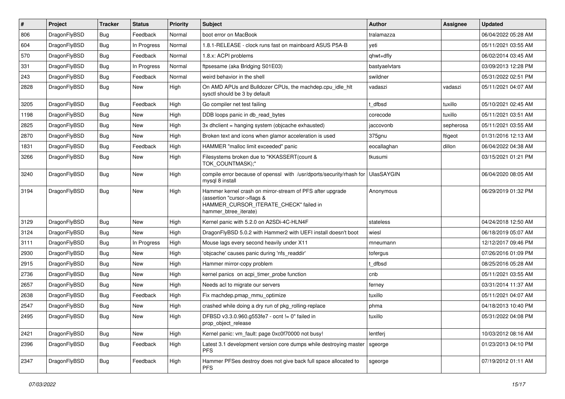| $\sharp$ | Project      | <b>Tracker</b> | <b>Status</b> | <b>Priority</b> | Subject                                                                                                                                                     | <b>Author</b>     | Assignee  | <b>Updated</b>      |
|----------|--------------|----------------|---------------|-----------------|-------------------------------------------------------------------------------------------------------------------------------------------------------------|-------------------|-----------|---------------------|
| 806      | DragonFlyBSD | Bug            | Feedback      | Normal          | boot error on MacBook                                                                                                                                       | tralamazza        |           | 06/04/2022 05:28 AM |
| 604      | DragonFlyBSD | Bug            | In Progress   | Normal          | 1.8.1-RELEASE - clock runs fast on mainboard ASUS P5A-B                                                                                                     | veti              |           | 05/11/2021 03:55 AM |
| 570      | DragonFlyBSD | Bug            | Feedback      | Normal          | 1.8.x: ACPI problems                                                                                                                                        | qhwt+dfly         |           | 06/02/2014 03:45 AM |
| 331      | DragonFlyBSD | Bug            | In Progress   | Normal          | ftpsesame (aka Bridging S01E03)                                                                                                                             | bastyaelvtars     |           | 03/09/2013 12:28 PM |
| 243      | DragonFlyBSD | Bug            | Feedback      | Normal          | weird behavior in the shell                                                                                                                                 | swildner          |           | 05/31/2022 02:51 PM |
| 2828     | DragonFlyBSD | Bug            | New           | High            | On AMD APUs and Bulldozer CPUs, the machdep.cpu idle hlt<br>sysctl should be 3 by default                                                                   | vadaszi           | vadaszi   | 05/11/2021 04:07 AM |
| 3205     | DragonFlyBSD | Bug            | Feedback      | High            | Go compiler net test failing                                                                                                                                | t dfbsd           | tuxillo   | 05/10/2021 02:45 AM |
| 1198     | DragonFlyBSD | Bug            | New           | High            | DDB loops panic in db read bytes                                                                                                                            | corecode          | tuxillo   | 05/11/2021 03:51 AM |
| 2825     | DragonFlyBSD | Bug            | <b>New</b>    | High            | 3x dhclient = hanging system (objcache exhausted)                                                                                                           | jaccovonb         | sepherosa | 05/11/2021 03:55 AM |
| 2870     | DragonFlyBSD | Bug            | <b>New</b>    | High            | Broken text and icons when glamor acceleration is used                                                                                                      | 375gnu            | ftigeot   | 01/31/2016 12:13 AM |
| 1831     | DragonFlyBSD | Bug            | Feedback      | High            | HAMMER "malloc limit exceeded" panic                                                                                                                        | eocallaghan       | dillon    | 06/04/2022 04:38 AM |
| 3266     | DragonFlyBSD | Bug            | <b>New</b>    | High            | Filesystems broken due to "KKASSERT(count &<br>TOK_COUNTMASK);"                                                                                             | tkusumi           |           | 03/15/2021 01:21 PM |
| 3240     | DragonFlyBSD | Bug            | New           | High            | compile error because of openssl with /usr/dports/security/rhash for<br>mysql 8 install                                                                     | <b>UlasSAYGIN</b> |           | 06/04/2020 08:05 AM |
| 3194     | DragonFlyBSD | Bug            | New           | High            | Hammer kernel crash on mirror-stream of PFS after upgrade<br>(assertion "cursor->flags &<br>HAMMER_CURSOR_ITERATE_CHECK" failed in<br>hammer btree iterate) | Anonymous         |           | 06/29/2019 01:32 PM |
| 3129     | DragonFlyBSD | Bug            | New           | High            | Kernel panic with 5.2.0 on A2SDi-4C-HLN4F                                                                                                                   | stateless         |           | 04/24/2018 12:50 AM |
| 3124     | DragonFlyBSD | Bug            | <b>New</b>    | High            | DragonFlyBSD 5.0.2 with Hammer2 with UEFI install doesn't boot                                                                                              | wiesl             |           | 06/18/2019 05:07 AM |
| 3111     | DragonFlyBSD | Bug            | In Progress   | High            | Mouse lags every second heavily under X11                                                                                                                   | mneumann          |           | 12/12/2017 09:46 PM |
| 2930     | DragonFlyBSD | Bug            | New           | High            | 'objcache' causes panic during 'nfs readdir'                                                                                                                | tofergus          |           | 07/26/2016 01:09 PM |
| 2915     | DragonFlyBSD | Bug            | <b>New</b>    | High            | Hammer mirror-copy problem                                                                                                                                  | t dfbsd           |           | 08/25/2016 05:28 AM |
| 2736     | DragonFlyBSD | Bug            | New           | High            | kernel panics on acpi_timer_probe function                                                                                                                  | cnb               |           | 05/11/2021 03:55 AM |
| 2657     | DragonFlyBSD | Bug            | New           | High            | Needs acl to migrate our servers                                                                                                                            | ferney            |           | 03/31/2014 11:37 AM |
| 2638     | DragonFlyBSD | Bug            | Feedback      | High            | Fix machdep.pmap mmu optimize                                                                                                                               | tuxillo           |           | 05/11/2021 04:07 AM |
| 2547     | DragonFlyBSD | Bug            | New           | High            | crashed while doing a dry run of pkg rolling-replace                                                                                                        | phma              |           | 04/18/2013 10:40 PM |
| 2495     | DragonFlyBSD | Bug            | <b>New</b>    | High            | DFBSD v3.3.0.960.g553fe7 - ocnt != 0" failed in<br>prop_object_release                                                                                      | tuxillo           |           | 05/31/2022 04:08 PM |
| 2421     | DragonFlyBSD | <b>Bug</b>     | New           | High            | Kernel panic: vm_fault: page 0xc0f70000 not busy!                                                                                                           | lentferj          |           | 10/03/2012 08:16 AM |
| 2396     | DragonFlyBSD | <b>Bug</b>     | Feedback      | High            | Latest 3.1 development version core dumps while destroying master<br><b>PFS</b>                                                                             | sgeorge           |           | 01/23/2013 04:10 PM |
| 2347     | DragonFlyBSD | <b>Bug</b>     | Feedback      | High            | Hammer PFSes destroy does not give back full space allocated to<br><b>PFS</b>                                                                               | sgeorge           |           | 07/19/2012 01:11 AM |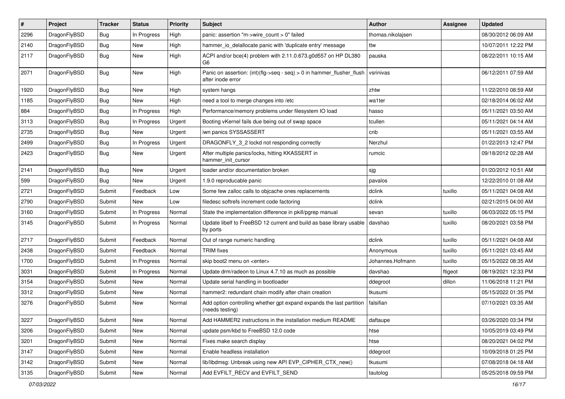| $\pmb{\#}$ | Project      | <b>Tracker</b> | <b>Status</b> | <b>Priority</b> | Subject                                                                                    | Author            | Assignee | <b>Updated</b>      |
|------------|--------------|----------------|---------------|-----------------|--------------------------------------------------------------------------------------------|-------------------|----------|---------------------|
| 2296       | DragonFlyBSD | <b>Bug</b>     | In Progress   | High            | panic: assertion "m->wire count > 0" failed                                                | thomas.nikolajsen |          | 08/30/2012 06:09 AM |
| 2140       | DragonFlyBSD | <b>Bug</b>     | New           | High            | hammer_io_delallocate panic with 'duplicate entry' message                                 | ttw               |          | 10/07/2011 12:22 PM |
| 2117       | DragonFlyBSD | Bug            | New           | High            | ACPI and/or bce(4) problem with 2.11.0.673.g0d557 on HP DL380<br>G6                        | pauska            |          | 08/22/2011 10:15 AM |
| 2071       | DragonFlyBSD | Bug            | <b>New</b>    | High            | Panic on assertion: (int)(flg->seq - seq) > 0 in hammer_flusher_flush<br>after inode error | vsrinivas         |          | 06/12/2011 07:59 AM |
| 1920       | DragonFlyBSD | <b>Bug</b>     | New           | High            | system hangs                                                                               | zhtw              |          | 11/22/2010 08:59 AM |
| 1185       | DragonFlyBSD | <b>Bug</b>     | <b>New</b>    | High            | need a tool to merge changes into /etc                                                     | wa1ter            |          | 02/18/2014 06:02 AM |
| 884        | DragonFlyBSD | <b>Bug</b>     | In Progress   | High            | Performance/memory problems under filesystem IO load                                       | hasso             |          | 05/11/2021 03:50 AM |
| 3113       | DragonFlyBSD | <b>Bug</b>     | In Progress   | Urgent          | Booting vKernel fails due being out of swap space                                          | tcullen           |          | 05/11/2021 04:14 AM |
| 2735       | DragonFlyBSD | Bug            | New           | Urgent          | iwn panics SYSSASSERT                                                                      | cnb               |          | 05/11/2021 03:55 AM |
| 2499       | DragonFlyBSD | <b>Bug</b>     | In Progress   | Urgent          | DRAGONFLY 3 2 lockd not responding correctly                                               | Nerzhul           |          | 01/22/2013 12:47 PM |
| 2423       | DragonFlyBSD | <b>Bug</b>     | <b>New</b>    | Urgent          | After multiple panics/locks, hitting KKASSERT in<br>hammer_init_cursor                     | rumcic            |          | 09/18/2012 02:28 AM |
| 2141       | DragonFlyBSD | <b>Bug</b>     | <b>New</b>    | Urgent          | loader and/or documentation broken                                                         | sjg               |          | 01/20/2012 10:51 AM |
| 599        | DragonFlyBSD | <b>Bug</b>     | New           | Urgent          | 1.9.0 reproducable panic                                                                   | pavalos           |          | 12/22/2010 01:08 AM |
| 2721       | DragonFlyBSD | Submit         | Feedback      | Low             | Some few zalloc calls to objcache ones replacements                                        | dclink            | tuxillo  | 05/11/2021 04:08 AM |
| 2790       | DragonFlyBSD | Submit         | New           | Low             | filedesc softrefs increment code factoring                                                 | dclink            |          | 02/21/2015 04:00 AM |
| 3160       | DragonFlyBSD | Submit         | In Progress   | Normal          | State the implementation difference in pkill/pgrep manual                                  | sevan             | tuxillo  | 06/03/2022 05:15 PM |
| 3145       | DragonFlyBSD | Submit         | In Progress   | Normal          | Update libelf to FreeBSD 12 current and build as base library usable<br>by ports           | davshao           | tuxillo  | 08/20/2021 03:58 PM |
| 2717       | DragonFlyBSD | Submit         | Feedback      | Normal          | Out of range numeric handling                                                              | dclink            | tuxillo  | 05/11/2021 04:08 AM |
| 2438       | DragonFlyBSD | Submit         | Feedback      | Normal          | <b>TRIM</b> fixes                                                                          | Anonymous         | tuxillo  | 05/11/2021 03:45 AM |
| 1700       | DragonFlyBSD | Submit         | In Progress   | Normal          | skip boot2 menu on <enter></enter>                                                         | Johannes.Hofmann  | tuxillo  | 05/15/2022 08:35 AM |
| 3031       | DragonFlyBSD | Submit         | In Progress   | Normal          | Update drm/radeon to Linux 4.7.10 as much as possible                                      | davshao           | ftigeot  | 08/19/2021 12:33 PM |
| 3154       | DragonFlyBSD | Submit         | New           | Normal          | Update serial handling in bootloader                                                       | ddegroot          | dillon   | 11/06/2018 11:21 PM |
| 3312       | DragonFlyBSD | Submit         | New           | Normal          | hammer2: redundant chain modify after chain creation                                       | tkusumi           |          | 05/15/2022 01:35 PM |
| 3276       | DragonFlyBSD | Submit         | New           | Normal          | Add option controlling whether gpt expand expands the last partition<br>(needs testing)    | falsifian         |          | 07/10/2021 03:35 AM |
| 3227       | DragonFlyBSD | Submit         | New           | Normal          | Add HAMMER2 instructions in the installation medium README                                 | daftaupe          |          | 03/26/2020 03:34 PM |
| 3206       | DragonFlyBSD | Submit         | <b>New</b>    | Normal          | update psm/kbd to FreeBSD 12.0 code                                                        | htse              |          | 10/05/2019 03:49 PM |
| 3201       | DragonFlyBSD | Submit         | <b>New</b>    | Normal          | Fixes make search display                                                                  | htse              |          | 08/20/2021 04:02 PM |
| 3147       | DragonFlyBSD | Submit         | <b>New</b>    | Normal          | Enable headless installation                                                               | ddegroot          |          | 10/09/2018 01:25 PM |
| 3142       | DragonFlyBSD | Submit         | <b>New</b>    | Normal          | lib/libdmsg: Unbreak using new API EVP_CIPHER_CTX_new()                                    | tkusumi           |          | 07/08/2018 04:18 AM |
| 3135       | DragonFlyBSD | Submit         | New           | Normal          | Add EVFILT_RECV and EVFILT_SEND                                                            | tautolog          |          | 05/25/2018 09:59 PM |